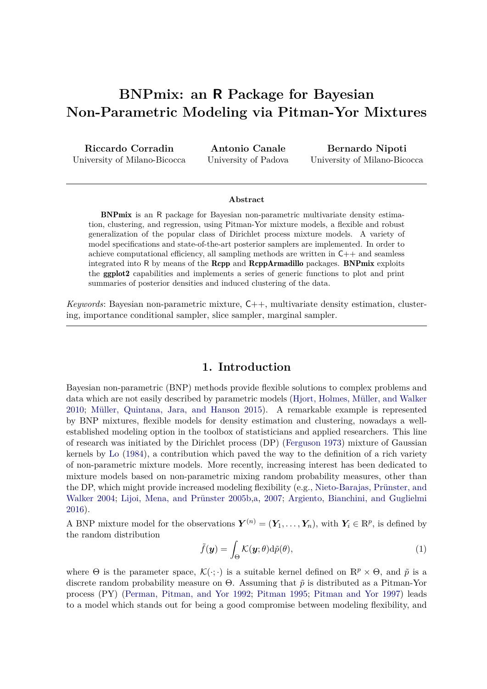# **BNPmix: an R Package for Bayesian Non-Parametric Modeling via Pitman-Yor Mixtures**

**Riccardo Corradin** University of Milano-Bicocca

**Antonio Canale** University of Padova

**Bernardo Nipoti** University of Milano-Bicocca

#### **Abstract**

BNPmix is an R package for Bayesian non-parametric multivariate density estimation, clustering, and regression, using Pitman-Yor mixture models, a flexible and robust generalization of the popular class of Dirichlet process mixture models. A variety of model specifications and state-of-the-art posterior samplers are implemented. In order to achieve computational efficiency, all sampling methods are written in  $C++$  and seamless integrated into R by means of the Rcpp and RcppArmadillo packages. BNPmix exploits the ggplot2 capabilities and implements a series of generic functions to plot and print summaries of posterior densities and induced clustering of the data.

*Keywords*: Bayesian non-parametric mixture, C++, multivariate density estimation, clustering, importance conditional sampler, slice sampler, marginal sampler.

### **1. Introduction**

Bayesian non-parametric (BNP) methods provide flexible solutions to complex problems and data which are not easily described by parametric models [\(Hjort, Holmes, Müller, and Walker](#page-27-0) [2010;](#page-27-0) [Müller, Quintana, Jara, and Hanson](#page-28-0) [2015\)](#page-28-0). A remarkable example is represented by BNP mixtures, flexible models for density estimation and clustering, nowadays a wellestablished modeling option in the toolbox of statisticians and applied researchers. This line of research was initiated by the Dirichlet process (DP) [\(Ferguson](#page-27-1) [1973\)](#page-27-1) mixture of Gaussian kernels by [Lo](#page-28-1) [\(1984\)](#page-28-1), a contribution which paved the way to the definition of a rich variety of non-parametric mixture models. More recently, increasing interest has been dedicated to mixture models based on non-parametric mixing random probability measures, other than the DP, which might provide increased modeling flexibility (e.g., [Nieto-Barajas, Prünster, and](#page-28-2) [Walker](#page-28-2) [2004;](#page-28-2) [Lijoi, Mena, and Prünster](#page-28-3) [2005b,](#page-28-3)[a,](#page-28-4) [2007;](#page-28-5) [Argiento, Bianchini, and Guglielmi](#page-26-0) [2016\)](#page-26-0).

A BNP mixture model for the observations  $\mathbf{Y}^{(n)} = (\mathbf{Y}_1, \ldots, \mathbf{Y}_n)$ , with  $\mathbf{Y}_i \in \mathbb{R}^p$ , is defined by the random distribution

<span id="page-0-0"></span>
$$
\tilde{f}(\mathbf{y}) = \int_{\Theta} \mathcal{K}(\mathbf{y}; \theta) d\tilde{p}(\theta), \tag{1}
$$

where  $\Theta$  is the parameter space,  $\mathcal{K}(\cdot;\cdot)$  is a suitable kernel defined on  $\mathbb{R}^p \times \Theta$ , and  $\tilde{p}$  is a discrete random probability measure on  $\Theta$ . Assuming that  $\tilde{p}$  is distributed as a Pitman-Yor process (PY) [\(Perman, Pitman, and Yor](#page-28-6) [1992;](#page-28-6) [Pitman](#page-28-7) [1995;](#page-28-7) [Pitman and Yor](#page-29-0) [1997\)](#page-29-0) leads to a model which stands out for being a good compromise between modeling flexibility, and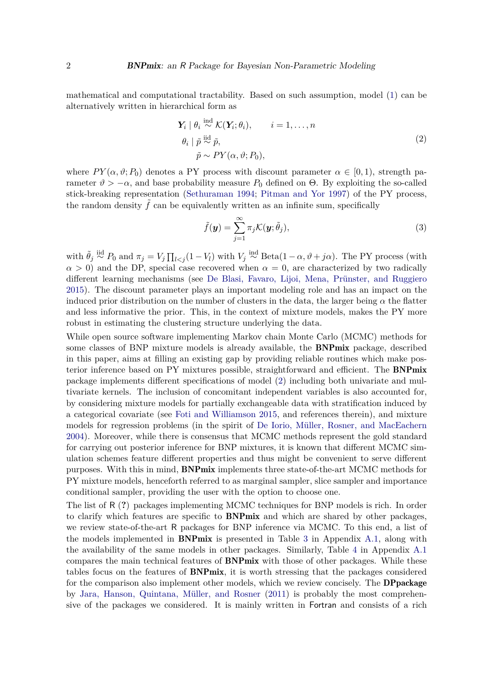mathematical and computational tractability. Based on such assumption, model [\(1\)](#page-0-0) can be alternatively written in hierarchical form as

<span id="page-1-0"></span>
$$
\mathbf{Y}_i \mid \theta_i \stackrel{\text{ind}}{\sim} \mathcal{K}(\mathbf{Y}_i; \theta_i), \qquad i = 1, \dots, n
$$
  

$$
\theta_i \mid \tilde{p} \stackrel{\text{iid}}{\sim} \tilde{p},
$$
  

$$
\tilde{p} \sim PY(\alpha, \vartheta; P_0),
$$
 (2)

where  $PY(\alpha, \vartheta; P_0)$  denotes a PY process with discount parameter  $\alpha \in [0, 1)$ , strength parameter  $\vartheta > -\alpha$ , and base probability measure  $P_0$  defined on  $\Theta$ . By exploiting the so-called stick-breaking representation [\(Sethuraman](#page-29-1) [1994;](#page-29-1) [Pitman and Yor](#page-29-0) [1997\)](#page-29-0) of the PY process, the random density  $\tilde{f}$  can be equivalently written as an infinite sum, specifically

<span id="page-1-1"></span>
$$
\tilde{f}(\mathbf{y}) = \sum_{j=1}^{\infty} \pi_j \mathcal{K}(\mathbf{y}; \tilde{\theta}_j),
$$
\n(3)

with  $\tilde{\theta}_j \stackrel{\text{iid}}{\sim} P_0$  and  $\pi_j = V_j \prod_{l < j} (1 - V_l)$  with  $V_j \stackrel{\text{ind}}{\sim} \text{Beta}(1 - \alpha, \vartheta + j\alpha)$ . The PY process (with  $\alpha > 0$ ) and the DP, special case recovered when  $\alpha = 0$ , are characterized by two radically different learning mechanisms (see [De Blasi, Favaro, Lijoi, Mena, Prünster, and Ruggiero](#page-27-2) [2015\)](#page-27-2). The discount parameter plays an important modeling role and has an impact on the induced prior distribution on the number of clusters in the data, the larger being  $\alpha$  the flatter and less informative the prior. This, in the context of mixture models, makes the PY more robust in estimating the clustering structure underlying the data.

While open source software implementing Markov chain Monte Carlo (MCMC) methods for some classes of BNP mixture models is already available, the BNPmix package, described in this paper, aims at filling an existing gap by providing reliable routines which make posterior inference based on PY mixtures possible, straightforward and efficient. The BNPmix package implements different specifications of model [\(2\)](#page-1-0) including both univariate and multivariate kernels. The inclusion of concomitant independent variables is also accounted for, by considering mixture models for partially exchangeable data with stratification induced by a categorical covariate (see [Foti and Williamson](#page-27-3) [2015,](#page-27-3) and references therein), and mixture models for regression problems (in the spirit of [De Iorio, Müller, Rosner, and MacEachern](#page-27-4) [2004\)](#page-27-4). Moreover, while there is consensus that MCMC methods represent the gold standard for carrying out posterior inference for BNP mixtures, it is known that different MCMC simulation schemes feature different properties and thus might be convenient to serve different purposes. With this in mind, BNPmix implements three state-of-the-art MCMC methods for PY mixture models, henceforth referred to as marginal sampler, slice sampler and importance conditional sampler, providing the user with the option to choose one.

The list of R (**?**) packages implementing MCMC techniques for BNP models is rich. In order to clarify which features are specific to BNPmix and which are shared by other packages, we review state-of-the-art R packages for BNP inference via MCMC. To this end, a list of the models implemented in **BNPmix** is presented in Table [3](#page-30-0) in Appendix [A.1,](#page-30-1) along with the availability of the same models in other packages. Similarly, Table [4](#page-31-0) in Appendix [A.1](#page-30-1) compares the main technical features of BNPmix with those of other packages. While these tables focus on the features of BNPmix, it is worth stressing that the packages considered for the comparison also implement other models, which we review concisely. The **DPpackage** by [Jara, Hanson, Quintana, Müller, and Rosner](#page-27-5) [\(2011\)](#page-27-5) is probably the most comprehensive of the packages we considered. It is mainly written in Fortran and consists of a rich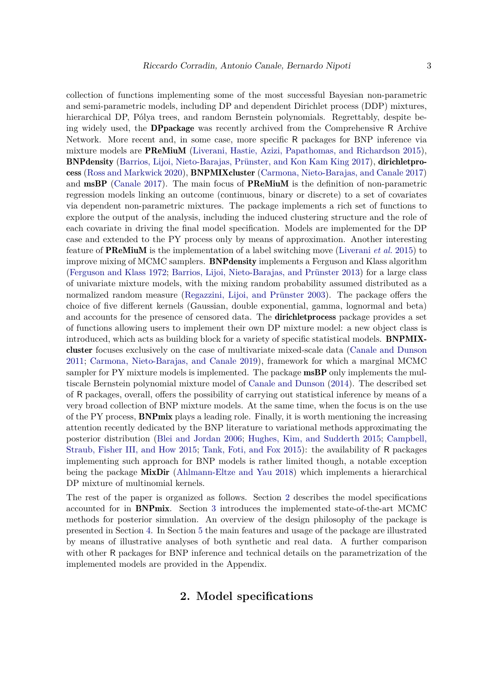collection of functions implementing some of the most successful Bayesian non-parametric and semi-parametric models, including DP and dependent Dirichlet process (DDP) mixtures, hierarchical DP, Pólya trees, and random Bernstein polynomials. Regrettably, despite being widely used, the DPpackage was recently archived from the Comprehensive R Archive Network. More recent and, in some case, more specific R packages for BNP inference via mixture models are PReMiuM [\(Liverani, Hastie, Azizi, Papathomas, and Richardson](#page-28-8) [2015\)](#page-28-8), BNPdensity [\(Barrios, Lijoi, Nieto-Barajas, Prünster, and Kon Kam King](#page-26-1) [2017\)](#page-26-1), dirichletprocess [\(Ross and Markwick](#page-29-2) [2020\)](#page-29-2), BNPMIXcluster [\(Carmona, Nieto-Barajas, and Canale](#page-26-2) [2017\)](#page-26-2) and msBP [\(Canale](#page-26-3) [2017\)](#page-26-3). The main focus of PReMiuM is the definition of non-parametric regression models linking an outcome (continuous, binary or discrete) to a set of covariates via dependent non-parametric mixtures. The package implements a rich set of functions to explore the output of the analysis, including the induced clustering structure and the role of each covariate in driving the final model specification. Models are implemented for the DP case and extended to the PY process only by means of approximation. Another interesting feature of PReMiuM is the implementation of a label switching move [\(Liverani](#page-28-8) *et al.* [2015\)](#page-28-8) to improve mixing of MCMC samplers. BNPdensity implements a Ferguson and Klass algorithm [\(Ferguson and Klass](#page-27-6) [1972;](#page-27-6) [Barrios, Lijoi, Nieto-Barajas, and Prünster](#page-26-4) [2013\)](#page-26-4) for a large class of univariate mixture models, with the mixing random probability assumed distributed as a normalized random measure [\(Regazzini, Lijoi, and Prünster](#page-29-3) [2003\)](#page-29-3). The package offers the choice of five different kernels (Gaussian, double exponential, gamma, lognormal and beta) and accounts for the presence of censored data. The dirichletprocess package provides a set of functions allowing users to implement their own DP mixture model: a new object class is introduced, which acts as building block for a variety of specific statistical models. BNPMIXcluster focuses exclusively on the case of multivariate mixed-scale data [\(Canale and Dunson](#page-26-5) [2011;](#page-26-5) [Carmona, Nieto-Barajas, and Canale](#page-26-6) [2019\)](#page-26-6), framework for which a marginal MCMC sampler for PY mixture models is implemented. The package **msBP** only implements the multiscale Bernstein polynomial mixture model of [Canale and Dunson](#page-26-7) [\(2014\)](#page-26-7). The described set of R packages, overall, offers the possibility of carrying out statistical inference by means of a very broad collection of BNP mixture models. At the same time, when the focus is on the use of the PY process, **BNPmix** plays a leading role. Finally, it is worth mentioning the increasing attention recently dedicated by the BNP literature to variational methods approximating the posterior distribution [\(Blei and Jordan](#page-26-8) [2006;](#page-26-8) [Hughes, Kim, and Sudderth](#page-27-7) [2015;](#page-27-7) [Campbell,](#page-26-9) [Straub, Fisher III, and How](#page-26-9) [2015;](#page-26-9) [Tank, Foti, and Fox](#page-29-4) [2015\)](#page-29-4): the availability of R packages implementing such approach for BNP models is rather limited though, a notable exception being the package **MixDir** [\(Ahlmann-Eltze and Yau](#page-26-10) [2018\)](#page-26-10) which implements a hierarchical DP mixture of multinomial kernels.

<span id="page-2-0"></span>The rest of the paper is organized as follows. Section [2](#page-2-0) describes the model specifications accounted for in BNPmix. Section [3](#page-9-0) introduces the implemented state-of-the-art MCMC methods for posterior simulation. An overview of the design philosophy of the package is presented in Section [4.](#page-11-0) In Section [5](#page-17-0) the main features and usage of the package are illustrated by means of illustrative analyses of both synthetic and real data. A further comparison with other R packages for BNP inference and technical details on the parametrization of the implemented models are provided in the Appendix.

### **2. Model specifications**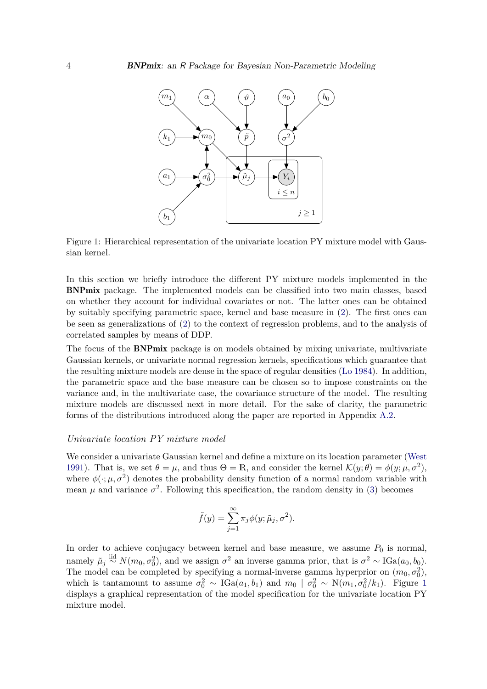

<span id="page-3-0"></span>Figure 1: Hierarchical representation of the univariate location PY mixture model with Gaussian kernel.

In this section we briefly introduce the different PY mixture models implemented in the BNPmix package. The implemented models can be classified into two main classes, based on whether they account for individual covariates or not. The latter ones can be obtained by suitably specifying parametric space, kernel and base measure in [\(2\)](#page-1-0). The first ones can be seen as generalizations of [\(2\)](#page-1-0) to the context of regression problems, and to the analysis of correlated samples by means of DDP.

The focus of the **BNPmix** package is on models obtained by mixing univariate, multivariate Gaussian kernels, or univariate normal regression kernels, specifications which guarantee that the resulting mixture models are dense in the space of regular densities [\(Lo](#page-28-1) [1984\)](#page-28-1). In addition, the parametric space and the base measure can be chosen so to impose constraints on the variance and, in the multivariate case, the covariance structure of the model. The resulting mixture models are discussed next in more detail. For the sake of clarity, the parametric forms of the distributions introduced along the paper are reported in Appendix [A.2.](#page-30-2)

#### *Univariate location PY mixture model*

We consider a univariate Gaussian kernel and define a mixture on its location parameter [\(West](#page-29-5) [1991\)](#page-29-5). That is, we set  $\theta = \mu$ , and thus  $\Theta = \mathbb{R}$ , and consider the kernel  $\mathcal{K}(y; \theta) = \phi(y; \mu, \sigma^2)$ , where  $\phi(\cdot;\mu,\sigma^2)$  denotes the probability density function of a normal random variable with mean  $\mu$  and variance  $\sigma^2$ . Following this specification, the random density in [\(3\)](#page-1-1) becomes

$$
\tilde{f}(y) = \sum_{j=1}^{\infty} \pi_j \phi(y; \tilde{\mu}_j, \sigma^2).
$$

In order to achieve conjugacy between kernel and base measure, we assume  $P_0$  is normal, namely  $\tilde{\mu}_j \stackrel{\text{iid}}{\sim} N(m_0, \sigma_0^2)$ , and we assign  $\sigma^2$  an inverse gamma prior, that is  $\sigma^2 \sim \text{IGa}(a_0, b_0)$ . The model can be completed by specifying a normal-inverse gamma hyperprior on  $(m_0, \sigma_0^2)$ , which is tantamount to assume  $\sigma_0^2 \sim \text{IGa}(a_1, b_1)$  $\sigma_0^2 \sim \text{IGa}(a_1, b_1)$  $\sigma_0^2 \sim \text{IGa}(a_1, b_1)$  and  $m_0 \mid \sigma_0^2 \sim \text{N}(m_1, \sigma_0^2/k_1)$ . Figure 1 displays a graphical representation of the model specification for the univariate location PY mixture model.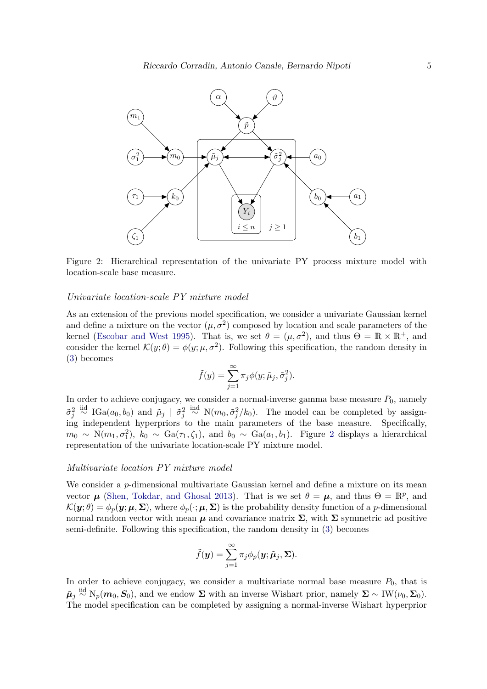

<span id="page-4-0"></span>Figure 2: Hierarchical representation of the univariate PY process mixture model with location-scale base measure.

### *Univariate location-scale PY mixture model*

As an extension of the previous model specification, we consider a univariate Gaussian kernel and define a mixture on the vector  $(\mu, \sigma^2)$  composed by location and scale parameters of the kernel [\(Escobar and West](#page-27-8) [1995\)](#page-27-8). That is, we set  $\theta = (\mu, \sigma^2)$ , and thus  $\Theta = \mathbb{R} \times \mathbb{R}^+$ , and consider the kernel  $\mathcal{K}(y;\theta) = \phi(y;\mu,\sigma^2)$ . Following this specification, the random density in [\(3\)](#page-1-1) becomes

$$
\tilde{f}(y) = \sum_{j=1}^{\infty} \pi_j \phi(y; \tilde{\mu}_j, \tilde{\sigma}_j^2).
$$

In order to achieve conjugacy, we consider a normal-inverse gamma base measure  $P_0$ , namely  $\tilde{\sigma}_j^2 \stackrel{\text{iid}}{\sim} \text{IGa}(a_0, b_0)$  and  $\tilde{\mu}_j \mid \tilde{\sigma}_j^2 \stackrel{\text{iid}}{\sim} \text{N}(m_0, \tilde{\sigma}_j^2/k_0)$ . The model can be completed by assigning independent hyperpriors to the main parameters of the base measure. Specifically,  $m_0 \sim N(m_1, \sigma_1^2)$  $m_0 \sim N(m_1, \sigma_1^2)$  $m_0 \sim N(m_1, \sigma_1^2)$ ,  $k_0 \sim Ga(\tau_1, \zeta_1)$ , and  $b_0 \sim Ga(a_1, b_1)$ . Figure 2 displays a hierarchical representation of the univariate location-scale PY mixture model.

### *Multivariate location PY mixture model*

We consider a *p*-dimensional multivariate Gaussian kernel and define a mixture on its mean vector  $\mu$  [\(Shen, Tokdar, and Ghosal](#page-29-6) [2013\)](#page-29-6). That is we set  $\theta = \mu$ , and thus  $\Theta = \mathbb{R}^p$ , and  $\mathcal{K}(\mathbf{y};\theta) = \phi_p(\mathbf{y};\mu,\Sigma)$ , where  $\phi_p(\cdot;\mu,\Sigma)$  is the probability density function of a *p*-dimensional normal random vector with mean  $\mu$  and covariance matrix  $\Sigma$ , with  $\Sigma$  symmetric ad positive semi-definite. Following this specification, the random density in [\(3\)](#page-1-1) becomes

$$
\tilde{f}(\mathbf{y}) = \sum_{j=1}^{\infty} \pi_j \phi_p(\mathbf{y}; \tilde{\boldsymbol{\mu}}_j, \boldsymbol{\Sigma}).
$$

In order to achieve conjugacy, we consider a multivariate normal base measure  $P_0$ , that is  $\tilde{\boldsymbol{\mu}}_j \stackrel{\text{iid}}{\sim} N_p(\boldsymbol{m}_0, \boldsymbol{S}_0)$ , and we endow  $\Sigma$  with an inverse Wishart prior, namely  $\Sigma \sim \text{IW}(\nu_0, \Sigma_0)$ . The model specification can be completed by assigning a normal-inverse Wishart hyperprior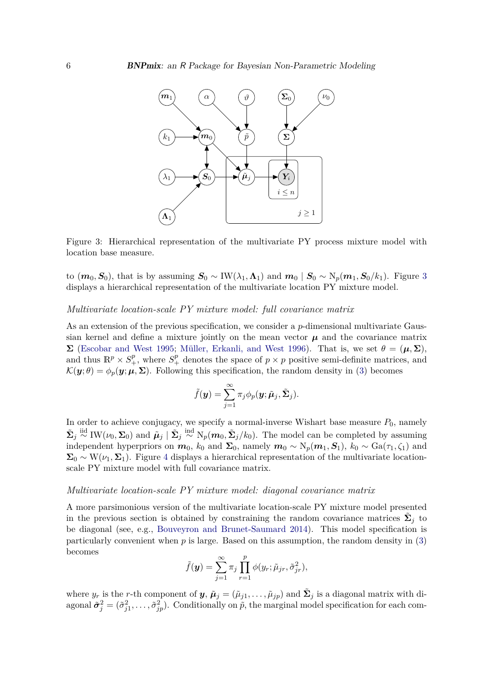

<span id="page-5-0"></span>Figure 3: Hierarchical representation of the multivariate PY process mixture model with location base measure.

to  $(m_0, S_0)$ , that is by assuming  $S_0 \sim \text{IW}(\lambda_1, \Lambda_1)$  and  $m_0 \mid S_0 \sim \text{N}_p(m_1, S_0/k_1)$ . Figure [3](#page-5-0) displays a hierarchical representation of the multivariate location PY mixture model.

#### *Multivariate location-scale PY mixture model: full covariance matrix*

As an extension of the previous specification, we consider a *p*-dimensional multivariate Gaussian kernel and define a mixture jointly on the mean vector  $\mu$  and the covariance matrix **Σ** [\(Escobar and West](#page-27-8) [1995;](#page-27-8) [Müller, Erkanli, and West](#page-28-9) [1996\)](#page-28-9). That is, we set  $θ = (μ, Σ)$ , and thus  $\mathbb{R}^p \times S^p_+$ , where  $S^p_+$  denotes the space of  $p \times p$  positive semi-definite matrices, and  $\mathcal{K}(\mathbf{y};\theta) = \phi_p(\mathbf{y};\mu,\Sigma)$ . Following this specification, the random density in [\(3\)](#page-1-1) becomes

$$
\tilde{f}(\boldsymbol{y}) = \sum_{j=1}^{\infty} \pi_j \phi_p(\boldsymbol{y}; \tilde{\boldsymbol{\mu}}_j, \tilde{\boldsymbol{\Sigma}}_j).
$$

In order to achieve conjugacy, we specify a normal-inverse Wishart base measure  $P_0$ , namely  $\tilde{\Sigma}_j \stackrel{\text{iid}}{\sim} \text{IW}(\nu_0, \Sigma_0)$  and  $\tilde{\mu}_j \mid \tilde{\Sigma}_j \stackrel{\text{ind}}{\sim} \text{N}_p(m_0, \tilde{\Sigma}_j/k_0)$ . The model can be completed by assuming independent hyperpriors on  $m_0$ ,  $k_0$  and  $\Sigma_0$ , namely  $m_0 \sim N_p(m_1, S_1)$ ,  $k_0 \sim Ga(\tau_1, \zeta_1)$  and  $\Sigma_0 \sim W(\nu_1, \Sigma_1)$ . Figure [4](#page-6-0) displays a hierarchical representation of the multivariate locationscale PY mixture model with full covariance matrix.

### *Multivariate location-scale PY mixture model: diagonal covariance matrix*

A more parsimonious version of the multivariate location-scale PY mixture model presented in the previous section is obtained by constraining the random covariance matrices  $\tilde{\Sigma}_j$  to be diagonal (see, e.g., [Bouveyron and Brunet-Saumard](#page-26-11) [2014\)](#page-26-11). This model specification is particularly convenient when  $p$  is large. Based on this assumption, the random density in  $(3)$ becomes

$$
\tilde{f}(\mathbf{y}) = \sum_{j=1}^{\infty} \pi_j \prod_{r=1}^{p} \phi(y_r; \tilde{\mu}_{jr}, \tilde{\sigma}_{jr}^2),
$$

where  $y_r$  is the *r*-th component of  $y$ ,  $\tilde{\mu}_j = (\tilde{\mu}_{j1}, \dots, \tilde{\mu}_{jp})$  and  $\tilde{\Sigma}_j$  is a diagonal matrix with diagonal  $\tilde{\sigma}_j^2 = (\tilde{\sigma}_{j1}^2, \ldots, \tilde{\sigma}_{jp}^2)$ . Conditionally on  $\tilde{p}$ , the marginal model specification for each com-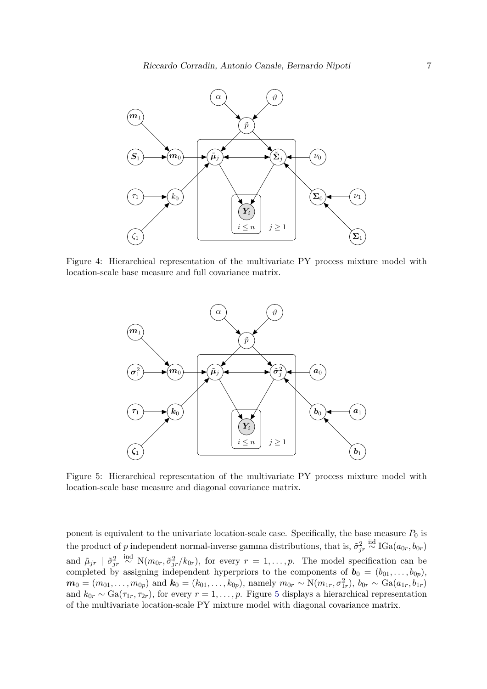

Figure 4: Hierarchical representation of the multivariate PY process mixture model with location-scale base measure and full covariance matrix.

<span id="page-6-0"></span>

<span id="page-6-1"></span>Figure 5: Hierarchical representation of the multivariate PY process mixture model with location-scale base measure and diagonal covariance matrix.

ponent is equivalent to the univariate location-scale case. Specifically, the base measure  $P_0$  is the product of *p* independent normal-inverse gamma distributions, that is,  $\tilde{\sigma}_{jr}^2 \stackrel{\text{iid}}{\sim} \text{IGa}(a_{0r}, b_{0r})$ and  $\tilde{\mu}_{jr}$  |  $\tilde{\sigma}_{jr}^2 \stackrel{\text{ind}}{\sim} N(m_{0r}, \tilde{\sigma}_{jr}^2/k_{0r})$ , for every  $r = 1, \ldots, p$ . The model specification can be completed by assigning independent hyperpriors to the components of  $\mathbf{b}_0 = (b_{01}, \ldots, b_{0p}),$  $\bm{m}_0 = (m_{01}, \ldots, m_{0p})$  and  $\bm{k}_0 = (k_{01}, \ldots, k_{0p})$ , namely  $m_{0r} \sim N(m_{1r}, \sigma_{1r}^2)$ ,  $b_{0r} \sim \text{Ga}(a_{1r}, b_{1r})$ and  $k_{0r} \sim \text{Ga}(\tau_{1r}, \tau_{2r})$ , for every  $r = 1, \ldots, p$ . Figure [5](#page-6-1) displays a hierarchical representation of the multivariate location-scale PY mixture model with diagonal covariance matrix.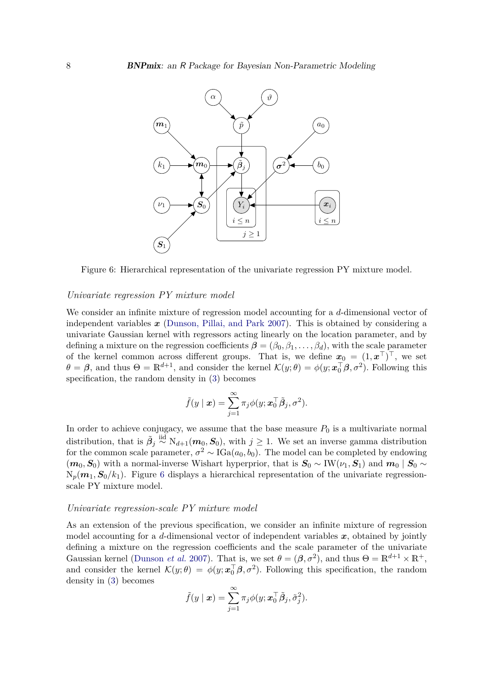

<span id="page-7-0"></span>Figure 6: Hierarchical representation of the univariate regression PY mixture model.

### *Univariate regression PY mixture model*

We consider an infinite mixture of regression model accounting for a *d*-dimensional vector of independent variables *x* [\(Dunson, Pillai, and Park](#page-27-9) [2007\)](#page-27-9). This is obtained by considering a univariate Gaussian kernel with regressors acting linearly on the location parameter, and by defining a mixture on the regression coefficients  $\beta = (\beta_0, \beta_1, \dots, \beta_d)$ , with the scale parameter of the kernel common across different groups. That is, we define  $x_0 = (1, x^{\top})^{\top}$ , we set  $\theta = \beta$ , and thus  $\Theta = \mathbb{R}^{d+1}$ , and consider the kernel  $\mathcal{K}(y; \theta) = \phi(y; \mathbf{x}_0^{\top} \beta, \sigma^2)$ . Following this specification, the random density in [\(3\)](#page-1-1) becomes

$$
\tilde{f}(y \mid \boldsymbol{x}) = \sum_{j=1}^{\infty} \pi_j \phi(y; \boldsymbol{x}_0^{\top} \tilde{\boldsymbol{\beta}}_j, \sigma^2).
$$

In order to achieve conjugacy, we assume that the base measure  $P_0$  is a multivariate normal distribution, that is  $\tilde{\beta}_j \stackrel{\text{iid}}{\sim} N_{d+1}(\textbf{\textit{m}}_0, \textbf{\textit{S}}_0)$ , with  $j \geq 1$ . We set an inverse gamma distribution for the common scale parameter,  $\sigma^2 \sim \text{IGa}(a_0, b_0)$ . The model can be completed by endowing ( $m_0$ ,  $S_0$ ) with a normal-inverse Wishart hyperprior, that is  $S_0$  ∼ IW( $\nu_1$ ,  $S_1$ ) and  $m_0$  |  $S_0$  ∼  $N_p(m_1, S_0/k_1)$ . Figure [6](#page-7-0) displays a hierarchical representation of the univariate regressionscale PY mixture model.

### *Univariate regression-scale PY mixture model*

As an extension of the previous specification, we consider an infinite mixture of regression model accounting for a  $d$ -dimensional vector of independent variables  $x$ , obtained by jointly defining a mixture on the regression coefficients and the scale parameter of the univariate Gaussian kernel [\(Dunson](#page-27-9) *et al.* [2007\)](#page-27-9). That is, we set  $\theta = (\beta, \sigma^2)$ , and thus  $\Theta = \mathbb{R}^{d+1} \times \mathbb{R}^+$ , and consider the kernel  $\mathcal{K}(y;\theta) = \phi(y;\boldsymbol{x}_0^{\top}\boldsymbol{\beta},\sigma^2)$ . Following this specification, the random density in [\(3\)](#page-1-1) becomes

$$
\tilde{f}(y \mid \boldsymbol{x}) = \sum_{j=1}^{\infty} \pi_j \phi(y; \boldsymbol{x}_0^{\top} \tilde{\boldsymbol{\beta}}_j, \tilde{\sigma}_j^2).
$$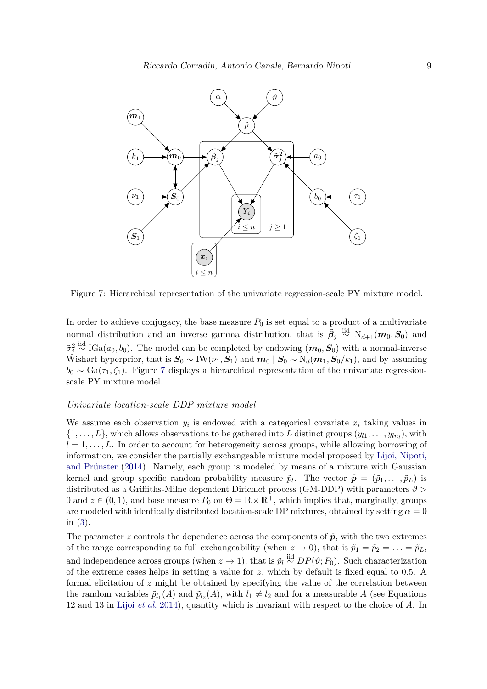

<span id="page-8-0"></span>Figure 7: Hierarchical representation of the univariate regression-scale PY mixture model.

In order to achieve conjugacy, the base measure  $P_0$  is set equal to a product of a multivariate normal distribution and an inverse gamma distribution, that is  $\tilde{\beta}_j \stackrel{\text{iid}}{\sim} N_{d+1}(m_0, S_0)$  and  $\tilde{\sigma}_j^2 \stackrel{\text{iid}}{\sim} \text{IGa}(a_0, b_0)$ . The model can be completed by endowing  $(m_0, S_0)$  with a normal-inverse Wishart hyperprior, that is  $S_0 \sim \text{IW}(\nu_1, \hat{S}_1)$  and  $m_0 \mid S_0 \sim \text{N}_d(m_1, S_0/k_1)$ , and by assuming  $b_0 \sim Ga(\tau_1, \zeta_1)$ . Figure [7](#page-8-0) displays a hierarchical representation of the univariate regressionscale PY mixture model.

#### *Univariate location-scale DDP mixture model*

We assume each observation  $y_i$  is endowed with a categorical covariate  $x_i$  taking values in  $\{1, \ldots, L\}$ , which allows observations to be gathered into *L* distinct groups  $(y_{l1}, \ldots, y_{ln_l})$ , with  $l = 1, \ldots, L$ . In order to account for heterogeneity across groups, while allowing borrowing of information, we consider the partially exchangeable mixture model proposed by [Lijoi, Nipoti,](#page-28-10) [and Prünster](#page-28-10) [\(2014\)](#page-28-10). Namely, each group is modeled by means of a mixture with Gaussian kernel and group specific random probability measure  $\tilde{p}_l$ . The vector  $\tilde{\boldsymbol{p}} = (\tilde{p}_1, \ldots, \tilde{p}_L)$  is distributed as a Griffiths-Milne dependent Dirichlet process (GM-DDP) with parameters  $\vartheta$  > 0 and  $z \in (0, 1)$ , and base measure  $P_0$  on  $\Theta = \mathbb{R} \times \mathbb{R}^+$ , which implies that, marginally, groups are modeled with identically distributed location-scale DP mixtures, obtained by setting  $\alpha = 0$ in [\(3\)](#page-1-1).

The parameter *z* controls the dependence across the components of  $\tilde{p}$ , with the two extremes of the range corresponding to full exchangeability (when  $z \to 0$ ), that is  $\tilde{p}_1 = \tilde{p}_2 = \ldots = \tilde{p}_L$ , and independence across groups (when  $z \to 1$ ), that is  $\tilde{p}_l \stackrel{\text{iid}}{\sim} DP(\vartheta; P_0)$ . Such characterization of the extreme cases helps in setting a value for *z*, which by default is fixed equal to 0.5. A formal elicitation of *z* might be obtained by specifying the value of the correlation between the random variables  $\tilde{p}_{l_1}(A)$  and  $\tilde{p}_{l_2}(A)$ , with  $l_1 \neq l_2$  and for a measurable A (see Equations 12 and 13 in Lijoi *[et al.](#page-28-10)* [2014\)](#page-28-10), quantity which is invariant with respect to the choice of *A*. In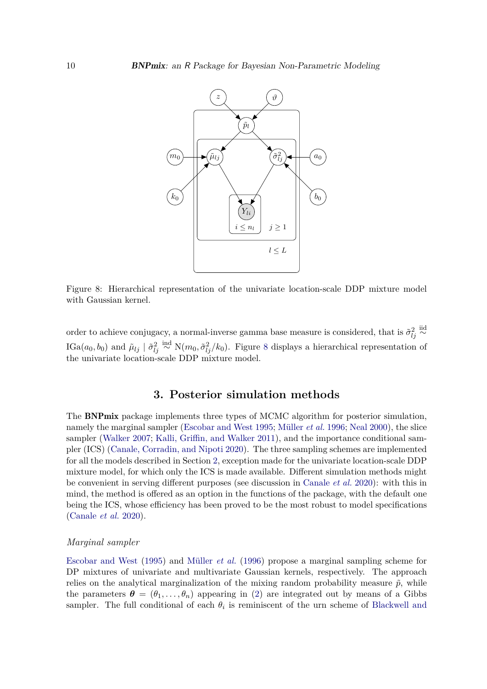

<span id="page-9-1"></span>Figure 8: Hierarchical representation of the univariate location-scale DDP mixture model with Gaussian kernel.

order to achieve conjugacy, a normal-inverse gamma base measure is considered, that is  $\tilde{\sigma}_{lj}^2 \stackrel{\text{iid}}{\sim}$ IGa( $a_0, b_0$ ) and  $\tilde{\mu}_{lj} \mid \tilde{\sigma}_{lj}^2 \stackrel{\text{ind}}{\sim} N(m_0, \tilde{\sigma}_{lj}^2/k_0)$ . Figure [8](#page-9-1) displays a hierarchical representation of the univariate location-scale DDP mixture model.

## **3. Posterior simulation methods**

<span id="page-9-0"></span>The BNPmix package implements three types of MCMC algorithm for posterior simulation, namely the marginal sampler [\(Escobar and West](#page-27-8) [1995;](#page-27-8) [Müller](#page-28-9) *et al.* [1996;](#page-28-9) [Neal](#page-28-11) [2000\)](#page-28-11), the slice sampler [\(Walker](#page-29-7) [2007;](#page-29-7) [Kalli, Griffin, and Walker](#page-27-10) [2011\)](#page-27-10), and the importance conditional sampler (ICS) [\(Canale, Corradin, and Nipoti](#page-26-12) [2020\)](#page-26-12). The three sampling schemes are implemented for all the models described in Section [2,](#page-2-0) exception made for the univariate location-scale DDP mixture model, for which only the ICS is made available. Different simulation methods might be convenient in serving different purposes (see discussion in [Canale](#page-26-12) *et al.* [2020\)](#page-26-12): with this in mind, the method is offered as an option in the functions of the package, with the default one being the ICS, whose efficiency has been proved to be the most robust to model specifications [\(Canale](#page-26-12) *et al.* [2020\)](#page-26-12).

#### *Marginal sampler*

[Escobar and West](#page-27-8) [\(1995\)](#page-27-8) and [Müller](#page-28-9) *et al.* [\(1996\)](#page-28-9) propose a marginal sampling scheme for DP mixtures of univariate and multivariate Gaussian kernels, respectively. The approach relies on the analytical marginalization of the mixing random probability measure  $\tilde{p}$ , while the parameters  $\boldsymbol{\theta} = (\theta_1, \dots, \theta_n)$  appearing in [\(2\)](#page-1-0) are integrated out by means of a Gibbs sampler. The full conditional of each  $\theta_i$  is reminiscent of the urn scheme of [Blackwell and](#page-26-13)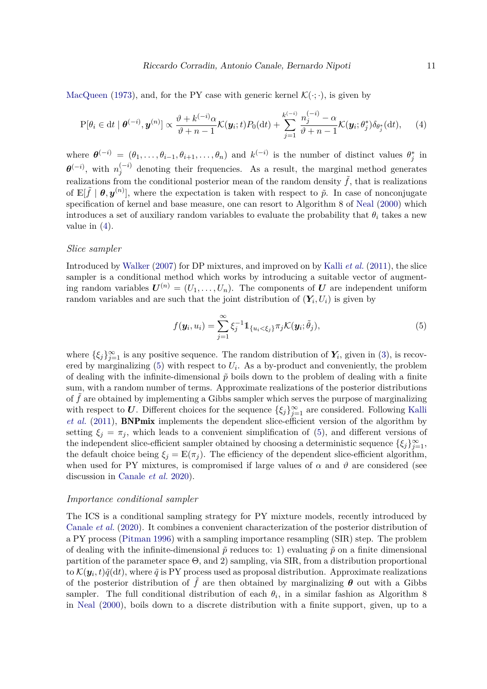[MacQueen](#page-26-13) [\(1973\)](#page-26-13), and, for the PY case with generic kernel  $\mathcal{K}(\cdot;\cdot)$ , is given by

<span id="page-10-0"></span>
$$
P[\theta_i \in dt \mid \boldsymbol{\theta}^{(-i)}, \boldsymbol{y}^{(n)}] \propto \frac{\vartheta + k^{(-i)}\alpha}{\vartheta + n - 1} \mathcal{K}(\boldsymbol{y}_i; t) P_0(dt) + \sum_{j=1}^{k^{(-i)}} \frac{n_j^{(-i)} - \alpha}{\vartheta + n - 1} \mathcal{K}(\boldsymbol{y}_i; \theta_j^*) \delta_{\theta_j^*}(dt), \qquad (4)
$$

where  $\boldsymbol{\theta}^{(-i)} = (\theta_1, \ldots, \theta_{i-1}, \theta_{i+1}, \ldots, \theta_n)$  and  $k^{(-i)}$  is the number of distinct values  $\theta_j^*$  in  $\boldsymbol{\theta}^{(-i)}$ , with  $n_i^{(-i)}$  $j_j^{(-i)}$  denoting their frequencies. As a result, the marginal method generates realizations from the conditional posterior mean of the random density  $f$ , that is realizations of  $\mathbb{E}[\tilde{f} | \theta, y^{(n)}]$ , where the expectation is taken with respect to  $\tilde{p}$ . In case of nonconjugate specification of kernel and base measure, one can resort to Algorithm 8 of [Neal](#page-28-11) [\(2000\)](#page-28-11) which introduces a set of auxiliary random variables to evaluate the probability that  $\theta_i$  takes a new value in  $(4)$ .

### *Slice sampler*

Introduced by [Walker](#page-29-7) [\(2007\)](#page-29-7) for DP mixtures, and improved on by Kalli *[et al.](#page-27-10)* [\(2011\)](#page-27-10), the slice sampler is a conditional method which works by introducing a suitable vector of augmenting random variables  $U^{(n)} = (U_1, \ldots, U_n)$ . The components of *U* are independent uniform random variables and are such that the joint distribution of  $(Y_i, U_i)$  is given by

<span id="page-10-1"></span>
$$
f(\mathbf{y}_i, u_i) = \sum_{j=1}^{\infty} \xi_j^{-1} \mathbb{1}_{\{u_i < \xi_j\}} \pi_j \mathcal{K}(\mathbf{y}_i; \tilde{\theta}_j), \tag{5}
$$

where  $\{\xi_j\}_{j=1}^{\infty}$  is any positive sequence. The random distribution of  $Y_i$ , given in [\(3\)](#page-1-1), is recovered by marginalizing  $(5)$  with respect to  $U_i$ . As a by-product and conveniently, the problem of dealing with the infinite-dimensional  $\tilde{p}$  boils down to the problem of dealing with a finite sum, with a random number of terms. Approximate realizations of the posterior distributions of f are obtained by implementing a Gibbs sampler which serves the purpose of marginalizing with respect to *U*. Different choices for the sequence  $\{\xi_j\}_{j=1}^{\infty}$  are considered. Following [Kalli](#page-27-10) *[et al.](#page-27-10)* [\(2011\)](#page-27-10), BNPmix implements the dependent slice-efficient version of the algorithm by setting  $\xi_i = \pi_i$ , which leads to a convenient simplification of [\(5\)](#page-10-1), and different versions of the independent slice-efficient sampler obtained by choosing a deterministic sequence  $\{\xi_j\}_{j=1}^{\infty}$ , the default choice being  $\xi_j = \mathbb{E}(\pi_j)$ . The efficiency of the dependent slice-efficient algorithm, when used for PY mixtures, is compromised if large values of  $\alpha$  and  $\vartheta$  are considered (see discussion in [Canale](#page-26-12) *et al.* [2020\)](#page-26-12).

#### *Importance conditional sampler*

The ICS is a conditional sampling strategy for PY mixture models, recently introduced by [Canale](#page-26-12) *et al.* [\(2020\)](#page-26-12). It combines a convenient characterization of the posterior distribution of a PY process [\(Pitman](#page-28-12) [1996\)](#page-28-12) with a sampling importance resampling (SIR) step. The problem of dealing with the infinite-dimensional  $\tilde{p}$  reduces to: 1) evaluating  $\tilde{p}$  on a finite dimensional partition of the parameter space  $\Theta$ , and 2) sampling, via SIR, from a distribution proportional to  $\mathcal{K}(\bm{y}_i, t) \tilde{q}(\mathrm{d} t)$ , where  $\tilde{q}$  is PY process used as proposal distribution. Approximate realizations of the posterior distribution of  $\hat{f}$  are then obtained by marginalizing  $\theta$  out with a Gibbs sampler. The full conditional distribution of each  $\theta_i$ , in a similar fashion as Algorithm 8 in [Neal](#page-28-11) [\(2000\)](#page-28-11), boils down to a discrete distribution with a finite support, given, up to a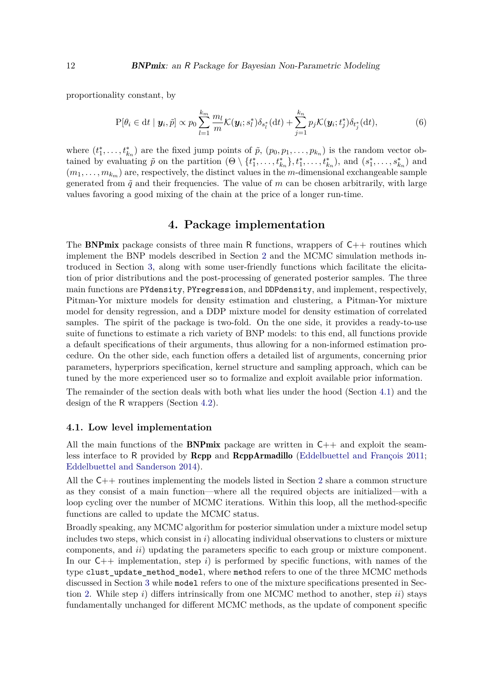proportionality constant, by

$$
P[\theta_i \in dt \mid \mathbf{y}_i, \tilde{p}] \propto p_0 \sum_{l=1}^{k_m} \frac{m_l}{m} \mathcal{K}(\mathbf{y}_i; s_l^*) \delta_{s_l^*}(dt) + \sum_{j=1}^{k_n} p_j \mathcal{K}(\mathbf{y}_i; t_j^*) \delta_{t_j^*}(dt), \tag{6}
$$

where  $(t_1^*, \ldots, t_{k_n}^*)$  are the fixed jump points of  $\tilde{p}$ ,  $(p_0, p_1, \ldots, p_{k_n})$  is the random vector obtained by evaluating  $\tilde{p}$  on the partition  $(\Theta \setminus \{t_1^*, \ldots, t_{k_n}^*\}, t_1^*, \ldots, t_{k_n}^*)$ , and  $(s_1^*, \ldots, s_{k_n}^*)$  and  $(m_1, \ldots, m_{k_m})$  are, respectively, the distinct values in the *m*-dimensional exchangeable sample generated from  $\tilde{q}$  and their frequencies. The value of  $m$  can be chosen arbitrarily, with large values favoring a good mixing of the chain at the price of a longer run-time.

### **4. Package implementation**

<span id="page-11-0"></span>The **BNPmix** package consists of three main R functions, wrappers of  $C_{++}$  routines which implement the BNP models described in Section [2](#page-2-0) and the MCMC simulation methods introduced in Section [3,](#page-9-0) along with some user-friendly functions which facilitate the elicitation of prior distributions and the post-processing of generated posterior samples. The three main functions are PYdensity, PYregression, and DDPdensity, and implement, respectively, Pitman-Yor mixture models for density estimation and clustering, a Pitman-Yor mixture model for density regression, and a DDP mixture model for density estimation of correlated samples. The spirit of the package is two-fold. On the one side, it provides a ready-to-use suite of functions to estimate a rich variety of BNP models: to this end, all functions provide a default specifications of their arguments, thus allowing for a non-informed estimation procedure. On the other side, each function offers a detailed list of arguments, concerning prior parameters, hyperpriors specification, kernel structure and sampling approach, which can be tuned by the more experienced user so to formalize and exploit available prior information.

The remainder of the section deals with both what lies under the hood (Section [4.1\)](#page-11-1) and the design of the R wrappers (Section [4.2\)](#page-12-0).

#### <span id="page-11-1"></span>**4.1. Low level implementation**

All the main functions of the **BNPmix** package are written in  $C_{++}$  and exploit the seamless interface to R provided by **Rcpp** and **RcppArmadillo** [\(Eddelbuettel and François](#page-27-11) [2011;](#page-27-11) [Eddelbuettel and Sanderson](#page-27-12) [2014\)](#page-27-12).

All the  $C_{++}$  routines implementing the models listed in Section [2](#page-2-0) share a common structure as they consist of a main function—where all the required objects are initialized—with a loop cycling over the number of MCMC iterations. Within this loop, all the method-specific functions are called to update the MCMC status.

Broadly speaking, any MCMC algorithm for posterior simulation under a mixture model setup includes two steps, which consist in *i*) allocating individual observations to clusters or mixture components, and *ii*) updating the parameters specific to each group or mixture component. In our C++ implementation, step *i*) is performed by specific functions, with names of the type clust\_update\_method\_model, where method refers to one of the three MCMC methods discussed in Section [3](#page-9-0) while model refers to one of the mixture specifications presented in Section [2.](#page-2-0) While step *i*) differs intrinsically from one MCMC method to another, step *ii*) stays fundamentally unchanged for different MCMC methods, as the update of component specific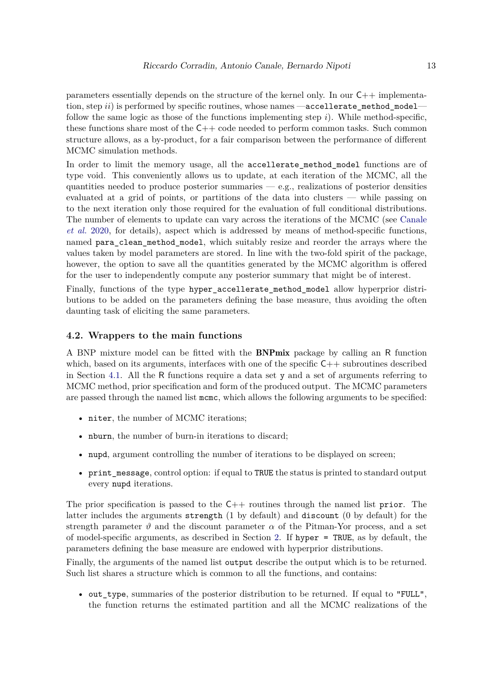parameters essentially depends on the structure of the kernel only. In our C++ implementation, step *ii*) is performed by specific routines, whose names —accellerate method model follow the same logic as those of the functions implementing step *i*). While method-specific, these functions share most of the  $C_{++}$  code needed to perform common tasks. Such common structure allows, as a by-product, for a fair comparison between the performance of different MCMC simulation methods.

In order to limit the memory usage, all the accellerate\_method\_model functions are of type void. This conveniently allows us to update, at each iteration of the MCMC, all the quantities needed to produce posterior summaries  $-$  e.g., realizations of posterior densities evaluated at a grid of points, or partitions of the data into clusters — while passing on to the next iteration only those required for the evaluation of full conditional distributions. The number of elements to update can vary across the iterations of the MCMC (see [Canale](#page-26-12) *[et al.](#page-26-12)* [2020,](#page-26-12) for details), aspect which is addressed by means of method-specific functions, named para\_clean\_method\_model, which suitably resize and reorder the arrays where the values taken by model parameters are stored. In line with the two-fold spirit of the package, however, the option to save all the quantities generated by the MCMC algorithm is offered for the user to independently compute any posterior summary that might be of interest.

Finally, functions of the type hyper\_accellerate\_method\_model allow hyperprior distributions to be added on the parameters defining the base measure, thus avoiding the often daunting task of eliciting the same parameters.

### <span id="page-12-0"></span>**4.2. Wrappers to the main functions**

A BNP mixture model can be fitted with the BNPmix package by calling an R function which, based on its arguments, interfaces with one of the specific  $C++$  subroutines described in Section [4.1.](#page-11-1) All the R functions require a data set y and a set of arguments referring to MCMC method, prior specification and form of the produced output. The MCMC parameters are passed through the named list mcmc, which allows the following arguments to be specified:

- niter, the number of MCMC iterations;
- nburn, the number of burn-in iterations to discard;
- nupd, argument controlling the number of iterations to be displayed on screen;
- print\_message, control option: if equal to TRUE the status is printed to standard output every nupd iterations.

The prior specification is passed to the  $C++$  routines through the named list prior. The latter includes the arguments strength (1 by default) and discount (0 by default) for the strength parameter  $\vartheta$  and the discount parameter  $\alpha$  of the Pitman-Yor process, and a set of model-specific arguments, as described in Section [2.](#page-2-0) If hyper = TRUE, as by default, the parameters defining the base measure are endowed with hyperprior distributions.

Finally, the arguments of the named list output describe the output which is to be returned. Such list shares a structure which is common to all the functions, and contains:

• out\_type, summaries of the posterior distribution to be returned. If equal to "FULL", the function returns the estimated partition and all the MCMC realizations of the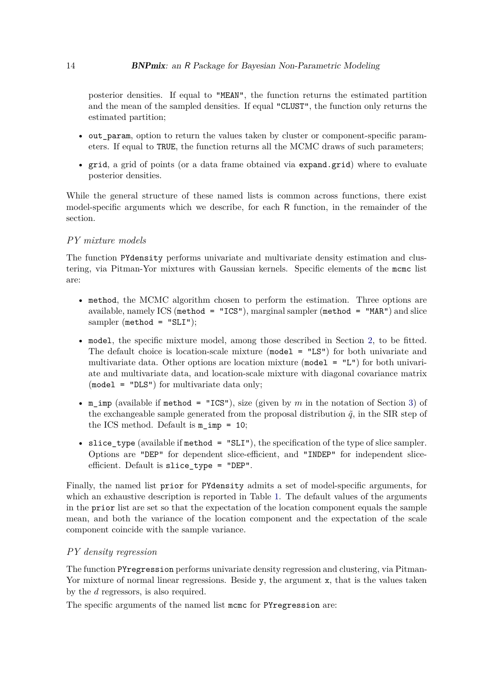posterior densities. If equal to "MEAN", the function returns the estimated partition and the mean of the sampled densities. If equal "CLUST", the function only returns the estimated partition;

- out param, option to return the values taken by cluster or component-specific parameters. If equal to TRUE, the function returns all the MCMC draws of such parameters;
- grid, a grid of points (or a data frame obtained via expand.grid) where to evaluate posterior densities.

While the general structure of these named lists is common across functions, there exist model-specific arguments which we describe, for each R function, in the remainder of the section.

### *PY mixture models*

The function PYdensity performs univariate and multivariate density estimation and clustering, via Pitman-Yor mixtures with Gaussian kernels. Specific elements of the mcmc list are:

- method, the MCMC algorithm chosen to perform the estimation. Three options are available, namely ICS (method = "ICS"), marginal sampler (method = "MAR") and slice sampler (method = " $SLI$ ");
- model, the specific mixture model, among those described in Section [2,](#page-2-0) to be fitted. The default choice is location-scale mixture (model = "LS") for both univariate and multivariate data. Other options are location mixture (model = "L") for both univariate and multivariate data, and location-scale mixture with diagonal covariance matrix (model = "DLS") for multivariate data only;
- m\_imp (available if method = "ICS"), size (given by *m* in the notation of Section [3\)](#page-9-0) of the exchangeable sample generated from the proposal distribution  $\tilde{q}$ , in the SIR step of the ICS method. Default is m\_imp = 10;
- slice\_type (available if method =  $"SLI"$ ), the specification of the type of slice sampler. Options are "DEP" for dependent slice-efficient, and "INDEP" for independent sliceefficient. Default is slice\_type = "DEP".

Finally, the named list prior for PYdensity admits a set of model-specific arguments, for which an exhaustive description is reported in Table [1.](#page-14-0) The default values of the arguments in the prior list are set so that the expectation of the location component equals the sample mean, and both the variance of the location component and the expectation of the scale component coincide with the sample variance.

### *PY density regression*

The function PYregression performs univariate density regression and clustering, via Pitman-Yor mixture of normal linear regressions. Beside y, the argument x, that is the values taken by the *d* regressors, is also required.

The specific arguments of the named list momo for PYregression are: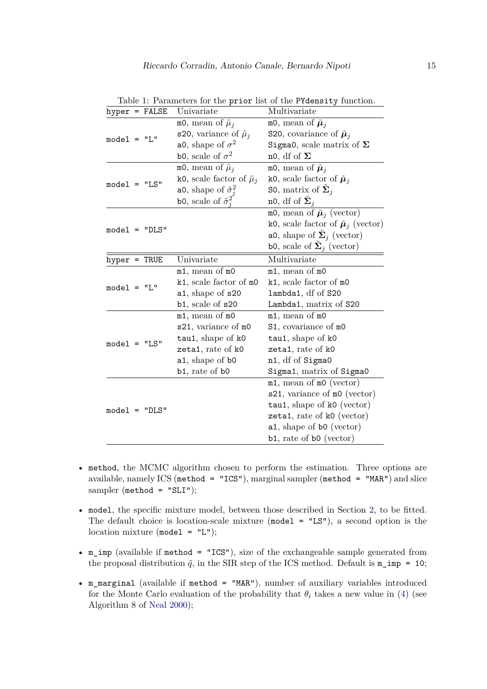|                 |  | hyper = FALSE               | Univariate                          | Multivariate                                 |
|-----------------|--|-----------------------------|-------------------------------------|----------------------------------------------|
| $model = "L"$   |  | m0, mean of $\tilde{\mu}_i$ | m0, mean of $\tilde{\mu}_i$         |                                              |
|                 |  |                             | s20, variance of $\tilde{\mu}_j$    | S20, covariance of $\tilde{\mu}_i$           |
|                 |  |                             | a0, shape of $\sigma^2$             | Sigma0, scale matrix of $\Sigma$             |
|                 |  | b0, scale of $\sigma^2$     | no, df of $\Sigma$                  |                                              |
|                 |  |                             | m0, mean of $\tilde{\mu}_i$         | m0, mean of $\tilde{\mu}_j$                  |
|                 |  | $model = "LS"$              | k0, scale factor of $\tilde{\mu}_j$ | k0, scale factor of $\tilde{\mu}_j$          |
|                 |  |                             | a0, shape of $\tilde{\sigma}_i^2$   | S0, matrix of $\Sigma_j$                     |
|                 |  |                             | b0, scale of $\tilde{\sigma}_i^2$   | n0, df of $\Sigma_i$                         |
|                 |  |                             |                                     | m0, mean of $\tilde{\mu}_j$ (vector)         |
|                 |  | $model = "DLS"$             |                                     | k0, scale factor of $\tilde{\mu}_j$ (vector) |
|                 |  |                             |                                     | a0, shape of $\Sigma_j$ (vector)             |
|                 |  |                             |                                     | b0, scale of $\sum_j$ (vector)               |
| $hyper = TRUE$  |  |                             | Univariate                          | Multivariate                                 |
|                 |  |                             | m1, mean of m0                      | m1, mean of m0                               |
|                 |  | $model = "L"$               | k1, scale factor of m0              | k1, scale factor of m0                       |
|                 |  |                             | a1, shape of s20                    | lambda1, df of S20                           |
|                 |  |                             | b1, scale of s20                    | Lambda1, matrix of S20                       |
|                 |  |                             | m1, mean of m0                      | m1, mean of m0                               |
|                 |  |                             | s21, variance of m0                 | S1, covariance of m0                         |
| $model = "LS"$  |  |                             | tau1, shape of k0                   | tau1, shape of k0                            |
|                 |  |                             | zeta1, rate of k0                   | zeta1, rate of k0                            |
|                 |  |                             | a1, shape of b0                     | n1, df of Sigma0                             |
|                 |  |                             | b1, rate of b0                      | Sigma1, matrix of Sigma0                     |
| $model = "DLS"$ |  |                             | $m1$ , mean of $m0$ (vector)        |                                              |
|                 |  |                             |                                     | s21, variance of m0 (vector)                 |
|                 |  |                             |                                     | $tau$ , shape of k0 (vector)                 |
|                 |  |                             |                                     | zeta1, rate of k0 (vector)                   |
|                 |  |                             |                                     | a1, shape of b0 (vector)                     |
|                 |  |                             |                                     | b1, rate of b0 (vector)                      |

<span id="page-14-0"></span>Table 1: Parameters for the prior list of the PYdensity function.

- method, the MCMC algorithm chosen to perform the estimation. Three options are available, namely ICS (method = "ICS"), marginal sampler (method = "MAR") and slice sampler ( $\text{method} = \text{``SLI''}$ );
- model, the specific mixture model, between those described in Section [2,](#page-2-0) to be fitted. The default choice is location-scale mixture ( $\text{model} = \text{ILS}$ "), a second option is the location mixture (model =  $"L"$ );
- m imp (available if method = "ICS"), size of the exchangeable sample generated from the proposal distribution  $\tilde{q}$ , in the SIR step of the ICS method. Default is  $m\text{imp} = 10$ ;
- m\_marginal (available if method = "MAR"), number of auxiliary variables introduced for the Monte Carlo evaluation of the probability that  $\theta_i$  takes a new value in [\(4\)](#page-10-0) (see Algorithm 8 of [Neal](#page-28-11) [2000\)](#page-28-11);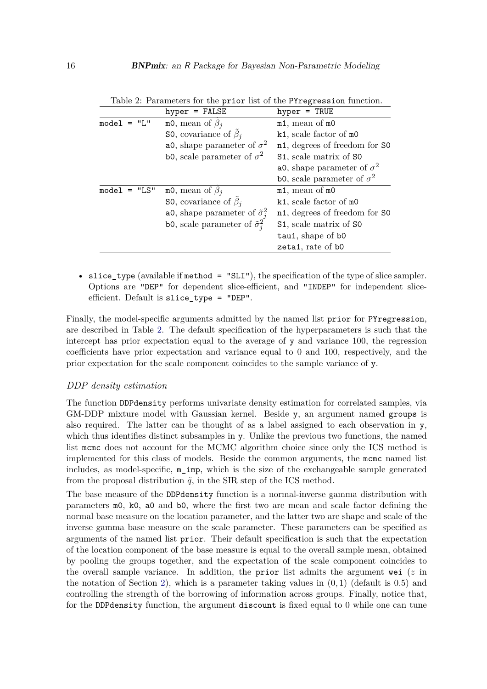|                | $hyper = FALSE$                             | $hyper = TRUE$                            |
|----------------|---------------------------------------------|-------------------------------------------|
| $model = "L"$  | m0, mean of $\beta_i$                       | m1, mean of m0                            |
|                | <b>S0</b> , covariance of $\tilde{\beta}_i$ | k1, scale factor of m0                    |
|                | a0, shape parameter of $\sigma^2$           | n1, degrees of freedom for SO             |
|                | b0, scale parameter of $\sigma^2$           | S1, scale matrix of S0                    |
|                |                                             | a0, shape parameter of $\sigma^2$         |
|                |                                             | <b>b0</b> , scale parameter of $\sigma^2$ |
| $model = "LS"$ | m0, mean of $\beta_i$                       | m1, mean of m0                            |
|                | <b>S0</b> , covariance of $\beta_i$         | k1, scale factor of m0                    |
|                | a0, shape parameter of $\tilde{\sigma}_i^2$ | n1, degrees of freedom for SO             |
|                | bo, scale parameter of $\tilde{\sigma}_i^2$ | S1, scale matrix of S0                    |
|                |                                             | tau1, shape of b0                         |
|                |                                             | zeta1, rate of b0                         |

<span id="page-15-0"></span>Table 2: Parameters for the prior list of the PYregression function.

• slice\_type (available if method =  $"SLI"$ ), the specification of the type of slice sampler. Options are "DEP" for dependent slice-efficient, and "INDEP" for independent sliceefficient. Default is slice\_type = "DEP".

Finally, the model-specific arguments admitted by the named list prior for PYregression, are described in Table [2.](#page-15-0) The default specification of the hyperparameters is such that the intercept has prior expectation equal to the average of y and variance 100, the regression coefficients have prior expectation and variance equal to 0 and 100, respectively, and the prior expectation for the scale component coincides to the sample variance of y.

### *DDP density estimation*

The function DDPdensity performs univariate density estimation for correlated samples, via GM-DDP mixture model with Gaussian kernel. Beside y, an argument named groups is also required. The latter can be thought of as a label assigned to each observation in y, which thus identifies distinct subsamples in y. Unlike the previous two functions, the named list mcmc does not account for the MCMC algorithm choice since only the ICS method is implemented for this class of models. Beside the common arguments, the mcmc named list includes, as model-specific, m\_imp, which is the size of the exchangeable sample generated from the proposal distribution  $\tilde{q}$ , in the SIR step of the ICS method.

The base measure of the DDPdensity function is a normal-inverse gamma distribution with parameters m0, k0, a0 and b0, where the first two are mean and scale factor defining the normal base measure on the location parameter, and the latter two are shape and scale of the inverse gamma base measure on the scale parameter. These parameters can be specified as arguments of the named list prior. Their default specification is such that the expectation of the location component of the base measure is equal to the overall sample mean, obtained by pooling the groups together, and the expectation of the scale component coincides to the overall sample variance. In addition, the prior list admits the argument wei (*z* in the notation of Section [2\)](#page-2-0), which is a parameter taking values in (0*,* 1) (default is 0*.*5) and controlling the strength of the borrowing of information across groups. Finally, notice that, for the DDPdensity function, the argument discount is fixed equal to 0 while one can tune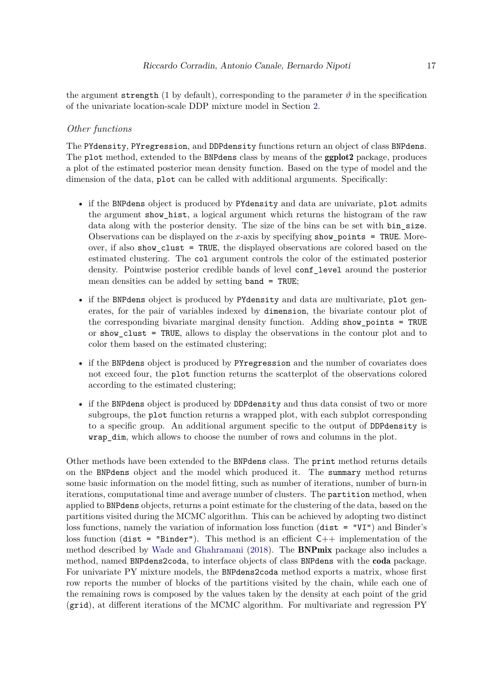the argument strength (1 by default), corresponding to the parameter  $\vartheta$  in the specification of the univariate location-scale DDP mixture model in Section [2.](#page-2-0)

### *Other functions*

The PYdensity, PYregression, and DDPdensity functions return an object of class BNPdens. The plot method, extended to the BNPdens class by means of the **ggplot2** package, produces a plot of the estimated posterior mean density function. Based on the type of model and the dimension of the data, plot can be called with additional arguments. Specifically:

- if the BNPdens object is produced by PYdensity and data are univariate, plot admits the argument show\_hist, a logical argument which returns the histogram of the raw data along with the posterior density. The size of the bins can be set with bin\_size. Observations can be displayed on the *x*-axis by specifying show\_points = TRUE. Moreover, if also show\_clust = TRUE, the displayed observations are colored based on the estimated clustering. The col argument controls the color of the estimated posterior density. Pointwise posterior credible bands of level conf\_level around the posterior mean densities can be added by setting band = TRUE;
- if the BNPdens object is produced by PYdensity and data are multivariate, plot generates, for the pair of variables indexed by dimension, the bivariate contour plot of the corresponding bivariate marginal density function. Adding show\_points = TRUE or show\_clust = TRUE, allows to display the observations in the contour plot and to color them based on the estimated clustering;
- if the BNPdens object is produced by PYregression and the number of covariates does not exceed four, the plot function returns the scatterplot of the observations colored according to the estimated clustering;
- if the BNPdens object is produced by DDPdensity and thus data consist of two or more subgroups, the plot function returns a wrapped plot, with each subplot corresponding to a specific group. An additional argument specific to the output of DDPdensity is wrap\_dim, which allows to choose the number of rows and columns in the plot.

Other methods have been extended to the BNPdens class. The print method returns details on the BNPdens object and the model which produced it. The summary method returns some basic information on the model fitting, such as number of iterations, number of burn-in iterations, computational time and average number of clusters. The partition method, when applied to BNPdens objects, returns a point estimate for the clustering of the data, based on the partitions visited during the MCMC algorithm. This can be achieved by adopting two distinct loss functions, namely the variation of information loss function (dist = "VI") and Binder's loss function (dist = "Binder"). This method is an efficient  $C++$  implementation of the method described by [Wade and Ghahramani](#page-29-8) [\(2018\)](#page-29-8). The BNPmix package also includes a method, named BNPdens2coda, to interface objects of class BNPdens with the coda package. For univariate PY mixture models, the BNPdens2coda method exports a matrix, whose first row reports the number of blocks of the partitions visited by the chain, while each one of the remaining rows is composed by the values taken by the density at each point of the grid (grid), at different iterations of the MCMC algorithm. For multivariate and regression PY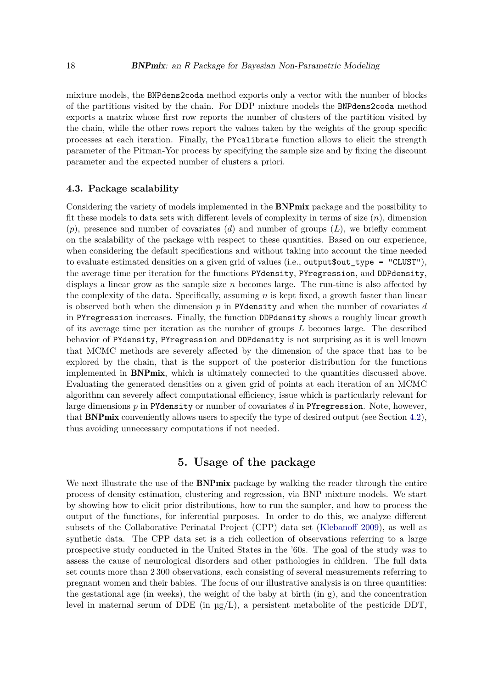mixture models, the BNPdens2coda method exports only a vector with the number of blocks of the partitions visited by the chain. For DDP mixture models the BNPdens2coda method exports a matrix whose first row reports the number of clusters of the partition visited by the chain, while the other rows report the values taken by the weights of the group specific processes at each iteration. Finally, the PYcalibrate function allows to elicit the strength parameter of the Pitman-Yor process by specifying the sample size and by fixing the discount parameter and the expected number of clusters a priori.

### **4.3. Package scalability**

Considering the variety of models implemented in the BNPmix package and the possibility to fit these models to data sets with different levels of complexity in terms of size (*n*), dimension (*p*), presence and number of covariates (*d*) and number of groups (*L*), we briefly comment on the scalability of the package with respect to these quantities. Based on our experience, when considering the default specifications and without taking into account the time needed to evaluate estimated densities on a given grid of values (i.e., output\$out\_type = "CLUST"), the average time per iteration for the functions PYdensity, PYregression, and DDPdensity, displays a linear grow as the sample size *n* becomes large. The run-time is also affected by the complexity of the data. Specifically, assuming *n* is kept fixed, a growth faster than linear is observed both when the dimension *p* in PYdensity and when the number of covariates *d* in PYregression increases. Finally, the function DDPdensity shows a roughly linear growth of its average time per iteration as the number of groups *L* becomes large. The described behavior of PYdensity, PYregression and DDPdensity is not surprising as it is well known that MCMC methods are severely affected by the dimension of the space that has to be explored by the chain, that is the support of the posterior distribution for the functions implemented in BNPmix, which is ultimately connected to the quantities discussed above. Evaluating the generated densities on a given grid of points at each iteration of an MCMC algorithm can severely affect computational efficiency, issue which is particularly relevant for large dimensions *p* in PYdensity or number of covariates *d* in PYregression. Note, however, that BNPmix conveniently allows users to specify the type of desired output (see Section [4.2\)](#page-12-0), thus avoiding unnecessary computations if not needed.

### **5. Usage of the package**

<span id="page-17-0"></span>We next illustrate the use of the **BNPmix** package by walking the reader through the entire process of density estimation, clustering and regression, via BNP mixture models. We start by showing how to elicit prior distributions, how to run the sampler, and how to process the output of the functions, for inferential purposes. In order to do this, we analyze different subsets of the Collaborative Perinatal Project (CPP) data set [\(Klebanoff](#page-27-13) [2009\)](#page-27-13), as well as synthetic data. The CPP data set is a rich collection of observations referring to a large prospective study conducted in the United States in the '60s. The goal of the study was to assess the cause of neurological disorders and other pathologies in children. The full data set counts more than 2 300 observations, each consisting of several measurements referring to pregnant women and their babies. The focus of our illustrative analysis is on three quantities: the gestational age (in weeks), the weight of the baby at birth  $(in g)$ , and the concentration level in maternal serum of DDE (in µg*/*L), a persistent metabolite of the pesticide DDT,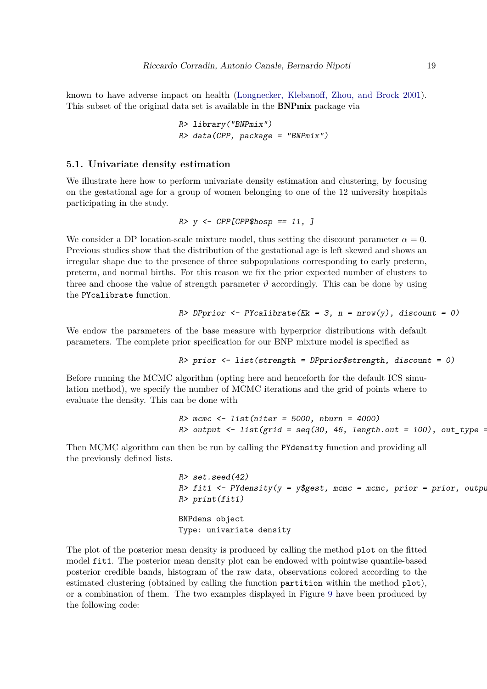known to have adverse impact on health [\(Longnecker, Klebanoff, Zhou, and Brock](#page-28-13) [2001\)](#page-28-13). This subset of the original data set is available in the BNPmix package via

> R> library("BNPmix")  $R$ > data(CPP, package = "BNPmix")

### <span id="page-18-0"></span>**5.1. Univariate density estimation**

We illustrate here how to perform univariate density estimation and clustering, by focusing on the gestational age for a group of women belonging to one of the 12 university hospitals participating in the study.

 $R > v \leq CPPCPP\$ hosp == 11, ]

We consider a DP location-scale mixture model, thus setting the discount parameter  $\alpha = 0$ . Previous studies show that the distribution of the gestational age is left skewed and shows an irregular shape due to the presence of three subpopulations corresponding to early preterm, preterm, and normal births. For this reason we fix the prior expected number of clusters to three and choose the value of strength parameter  $\vartheta$  accordingly. This can be done by using the PYcalibrate function.

R> DPprior  $\leq$  PYcalibrate(Ek = 3, n = nrow(y), discount = 0)

We endow the parameters of the base measure with hyperprior distributions with default parameters. The complete prior specification for our BNP mixture model is specified as

```
R> prior <- list(strength = DPprior$strength, discount = 0)
```
Before running the MCMC algorithm (opting here and henceforth for the default ICS simulation method), we specify the number of MCMC iterations and the grid of points where to evaluate the density. This can be done with

```
R > mcmc \leftarrow list(niter = 5000, nburn = 4000)
R> output \le list(grid = seq(30, 46, length.out = 100), out_type =
```
Then MCMC algorithm can then be run by calling the PYdensity function and providing all the previously defined lists.

> R> set.seed(42) R> fit1 <- PYdensity( $y = y$ \$gest, mcmc = mcmc, prior = prior, output R> print(fit1) BNPdens object Type: univariate density

The plot of the posterior mean density is produced by calling the method plot on the fitted model fit1. The posterior mean density plot can be endowed with pointwise quantile-based posterior credible bands, histogram of the raw data, observations colored according to the estimated clustering (obtained by calling the function partition within the method plot), or a combination of them. The two examples displayed in Figure [9](#page-19-0) have been produced by the following code: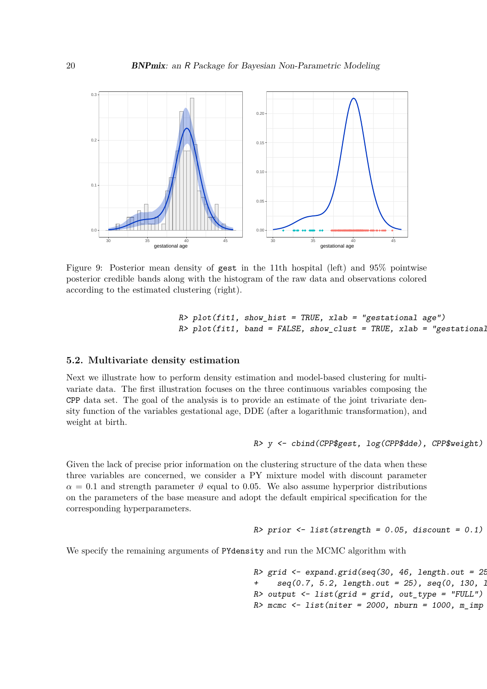

<span id="page-19-0"></span>Figure 9: Posterior mean density of gest in the 11th hospital (left) and 95% pointwise posterior credible bands along with the histogram of the raw data and observations colored according to the estimated clustering (right).

```
R> plot(fitt1, show\_hist = TRUE, xlab = "gestational age")R> plot(fit1, band = FALSE, show clust = TRUE, xlab = "gestational
```
### **5.2. Multivariate density estimation**

Next we illustrate how to perform density estimation and model-based clustering for multivariate data. The first illustration focuses on the three continuous variables composing the CPP data set. The goal of the analysis is to provide an estimate of the joint trivariate density function of the variables gestational age, DDE (after a logarithmic transformation), and weight at birth.

### R> y <- cbind(CPP\$gest, log(CPP\$dde), CPP\$weight)

Given the lack of precise prior information on the clustering structure of the data when these three variables are concerned, we consider a PY mixture model with discount parameter  $\alpha = 0.1$  and strength parameter  $\vartheta$  equal to 0.05. We also assume hyperprior distributions on the parameters of the base measure and adopt the default empirical specification for the corresponding hyperparameters.

```
R> prior \le list(strength = 0.05, discount = 0.1)
```
We specify the remaining arguments of PYdensity and run the MCMC algorithm with

R> grid  $\leq$  expand.grid(seq(30, 46, length.out = 25) +  $seq(0.7, 5.2, length.out = 25)$ ,  $seq(0, 130, 1)$  $R$ > output <- list(grid = grid, out\_type = "FULL")  $R$   $\geq$  mcmc  $\leq$  - list(niter = 2000, nburn = 1000, m\_imp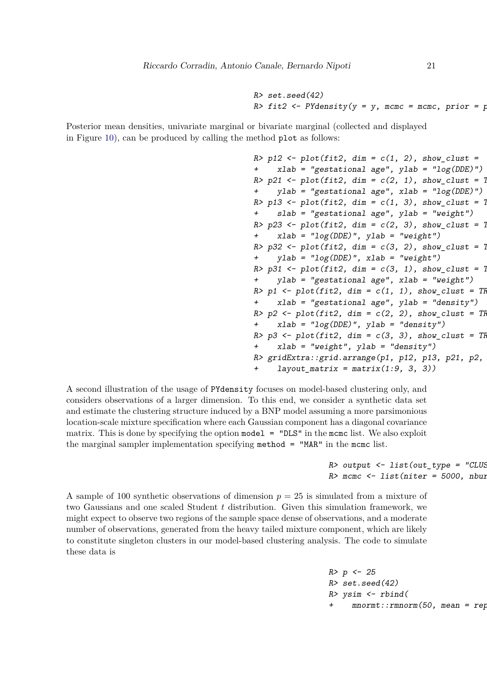R> set.seed(42) R> fit2 <- PYdensity(y = y, mcmc = mcmc, prior = p

Posterior mean densities, univariate marginal or bivariate marginal (collected and displayed in Figure [10\)](#page-21-0), can be produced by calling the method plot as follows:

```
R> p12 <- plot(fit2, dim = c(1, 2), show clust =
    xlab = "gestational age", ylab = "log(DDE)")R> p21 <- plot(fit2, dim = c(2, 1), show_clust = 1
+ ylab = "gestational age", xlab = "log(DDE)")
R> p13 <- plot(fit2, dim = c(1, 3), show_clust = 1
    slab = "gestational age", ylab = "weight")R> p23 \leq plot(fit2, dim = c(2, 3), show\_clust = 1xlab = "log(DDE)", ylab = "weight")
R> p32 <- plot(fit2, dim = c(3, 2), show_clust = 1
+ ylab = "log(DDE)", xlab = "weight")
R> p31 <- plot(fit2, dim = c(3, 1), show_clust = 1
+ ylab = "gestational age", xlab = "weight")
R> p1 <- plot(fit2, dim = c(1, 1), show_clust = TF
    xlab = "gestational age", ylab = "density")
R> p2 <- plot(fit2, dim = c(2, 2), show clust = TR
+ xlab = "log(DDE)", ylab = "density")
R > p3 <- plot(fit2, dim = c(3, 3), show_clust = TF
+ xlab = "weight", ylab = "density")
R> gridExtra::grid.arrange(p1, p12, p13, p21, p2,
     layout_matrix = matrix(1:9, 3, 3)
```
A second illustration of the usage of PYdensity focuses on model-based clustering only, and considers observations of a larger dimension. To this end, we consider a synthetic data set and estimate the clustering structure induced by a BNP model assuming a more parsimonious location-scale mixture specification where each Gaussian component has a diagonal covariance matrix. This is done by specifying the option model  $=$  "DLS" in the mcmc list. We also exploit the marginal sampler implementation specifying method = "MAR" in the mcmc list.

> $R$ > output <- list(out type = "CLUS  $R$ > mcmc <- list(niter = 5000, nbur

A sample of 100 synthetic observations of dimension  $p = 25$  is simulated from a mixture of two Gaussians and one scaled Student *t* distribution. Given this simulation framework, we might expect to observe two regions of the sample space dense of observations, and a moderate number of observations, generated from the heavy tailed mixture component, which are likely to constitute singleton clusters in our model-based clustering analysis. The code to simulate these data is

> $R > p \le -25$ R> set.seed(42)  $R$ > ysim  $\leq$  rbind(  $moment::rmmorm(50, mean = rep)$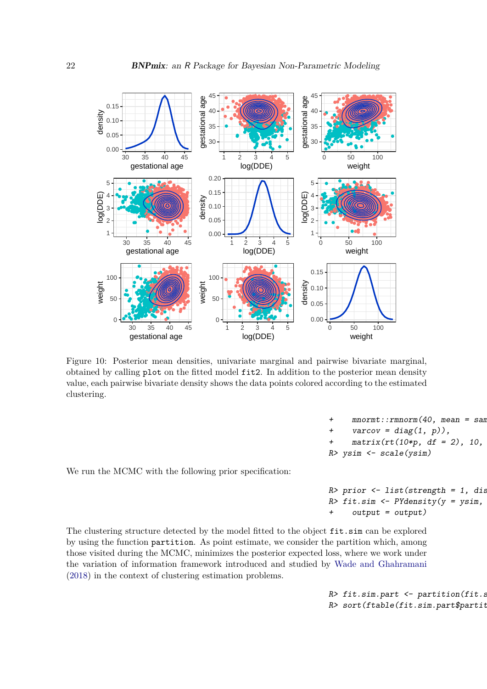

<span id="page-21-0"></span>Figure 10: Posterior mean densities, univariate marginal and pairwise bivariate marginal, obtained by calling plot on the fitted model fit2. In addition to the posterior mean density value, each pairwise bivariate density shows the data points colored according to the estimated clustering.

```
mnormt::rmnorm(40, mean = san+ varcov = diag(1, p)),
+ matrix(rt(10*p, df = 2), 10,R> ysim <- scale(ysim)
```
We run the MCMC with the following prior specification:

 $R$ > prior <- list(strength = 1, dis  $R$ > fit.sim <- PYdensity(y = ysim,  $output = output)$ 

The clustering structure detected by the model fitted to the object fit.sim can be explored by using the function partition. As point estimate, we consider the partition which, among those visited during the MCMC, minimizes the posterior expected loss, where we work under the variation of information framework introduced and studied by [Wade and Ghahramani](#page-29-8) [\(2018\)](#page-29-8) in the context of clustering estimation problems.

> $R$ > fit.sim.part <- partition(fit.s R> sort(ftable(fit.sim.part\$partit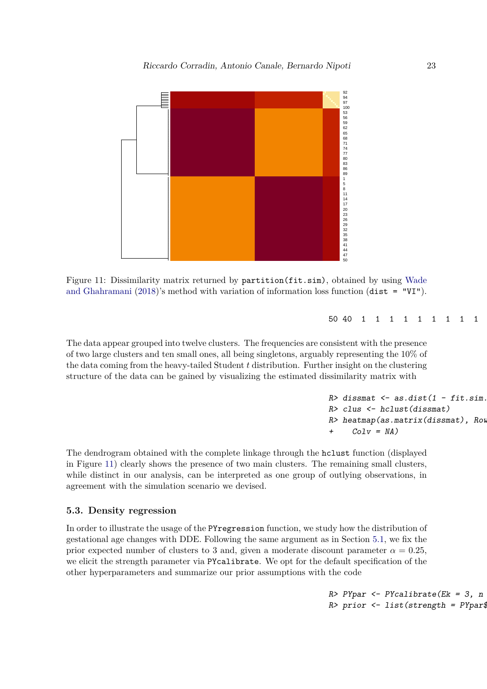

<span id="page-22-0"></span>Figure 11: Dissimilarity matrix returned by partition(fit.sim), obtained by using [Wade](#page-29-8) [and Ghahramani](#page-29-8) [\(2018\)](#page-29-8)'s method with variation of information loss function (dist =  $"VI"$ ).

50 40 1 1 1 1 1 1 1 1 1 1

The data appear grouped into twelve clusters. The frequencies are consistent with the presence of two large clusters and ten small ones, all being singletons, arguably representing the 10% of the data coming from the heavy-tailed Student *t* distribution. Further insight on the clustering structure of the data can be gained by visualizing the estimated dissimilarity matrix with

> R> dissmat  $\leq$  as.dist(1 - fit.sim. R> clus <- hclust(dissmat)  $R$ > heatmap(as.matrix(dissmat),  $R$ ow  $Colv = NA$

The dendrogram obtained with the complete linkage through the hclust function (displayed in Figure [11\)](#page-22-0) clearly shows the presence of two main clusters. The remaining small clusters, while distinct in our analysis, can be interpreted as one group of outlying observations, in agreement with the simulation scenario we devised.

### **5.3. Density regression**

In order to illustrate the usage of the PYregression function, we study how the distribution of gestational age changes with DDE. Following the same argument as in Section [5.1,](#page-18-0) we fix the prior expected number of clusters to 3 and, given a moderate discount parameter  $\alpha = 0.25$ , we elicit the strength parameter via PYcalibrate. We opt for the default specification of the other hyperparameters and summarize our prior assumptions with the code

> $R$ > PYpar <- PYcalibrate(Ek = 3, n R> prior  $\le$  list(strength = PYpar\$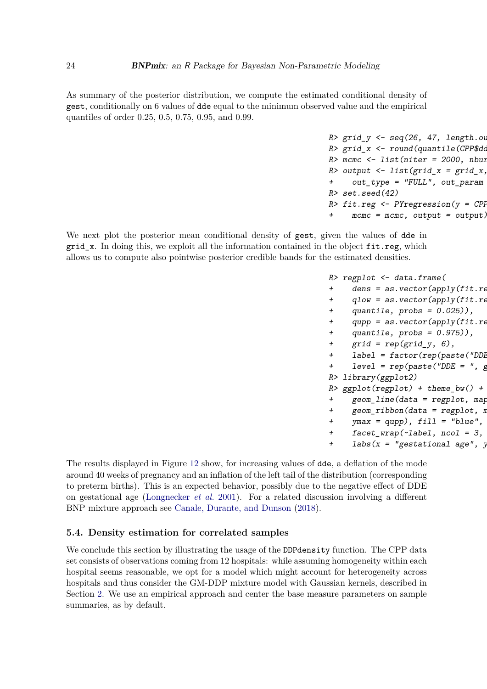As summary of the posterior distribution, we compute the estimated conditional density of gest, conditionally on 6 values of dde equal to the minimum observed value and the empirical quantiles of order 0.25, 0.5, 0.75, 0.95, and 0.99.

```
R> grid_y \leftarrow seq(26, 47, length.ou)R> grid x <- round(quantile(CPP$dd
R> mcmc <- list(niter = 2000, nbur
R> output <- list(grid_x = grid_x,
+ out_type = "FULL", out_param
R> set.seed(42)
R> fit.reg \leq - PYregression(y = CPP
     mcmc = mcmc, output = output)
```
We next plot the posterior mean conditional density of gest, given the values of dde in grid\_x. In doing this, we exploit all the information contained in the object fit.reg, which allows us to compute also pointwise posterior credible bands for the estimated densities.

> $R$ > regplot  $\leq$  data.frame(  $+$  dens = as.vector(apply(fit.re + qlow = as.vector(apply(fit.re + quantile,  $probs = 0.025)$ ), + qupp = as.vector(apply(fit.re + quantile, probs = 0.975)), + grid = rep(grid\_y, 6), + label =  $factor(rep(paste('DD))$ + level =  $rep(paste('DDE = ", p$ R> library(ggplot2)  $R$ > ggplot(regplot) + theme\_bw() +  $+$  geom\_line(data = regplot, map  $+$  geom\_ribbon(data = regplot, n +  $ymax = qupp)$ ,  $fill = "blue",$ +  $fact\_wrap(-label, ncol = 3,$ + labs( $x = "gestational age", y$

The results displayed in Figure [12](#page-24-0) show, for increasing values of dde, a deflation of the mode around 40 weeks of pregnancy and an inflation of the left tail of the distribution (corresponding to preterm births). This is an expected behavior, possibly due to the negative effect of DDE on gestational age [\(Longnecker](#page-28-13) *et al.* [2001\)](#page-28-13). For a related discussion involving a different BNP mixture approach see [Canale, Durante, and Dunson](#page-26-14) [\(2018\)](#page-26-14).

### **5.4. Density estimation for correlated samples**

We conclude this section by illustrating the usage of the DDPdensity function. The CPP data set consists of observations coming from 12 hospitals: while assuming homogeneity within each hospital seems reasonable, we opt for a model which might account for heterogeneity across hospitals and thus consider the GM-DDP mixture model with Gaussian kernels, described in Section [2.](#page-2-0) We use an empirical approach and center the base measure parameters on sample summaries, as by default.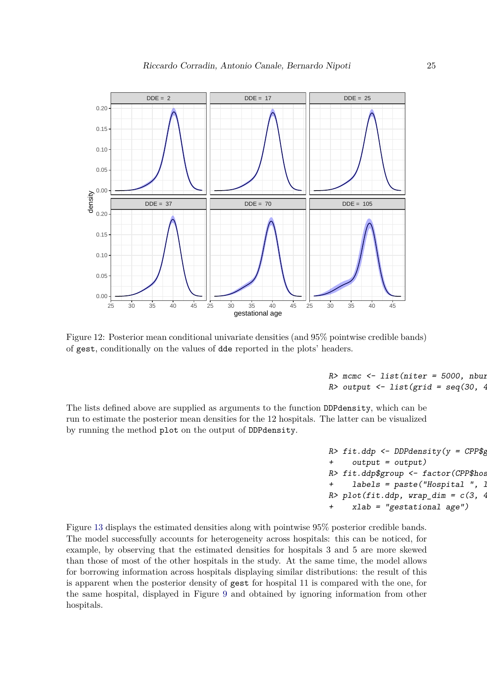

<span id="page-24-0"></span>Figure 12: Posterior mean conditional univariate densities (and 95% pointwise credible bands) of gest, conditionally on the values of dde reported in the plots' headers.

 $R$ > mcmc <- list(niter = 5000, nbur R> output  $\le$  list(grid = seq(30, 4

The lists defined above are supplied as arguments to the function DDPdensity, which can be run to estimate the posterior mean densities for the 12 hospitals. The latter can be visualized by running the method plot on the output of DDPdensity.

```
R> fit.ddp <- DDPdensity(y = CPP$g
+ output = output)
R> fit.ddp$group <- factor(CPP$hos
     labels = paste("Hospital", ]R> plot(fit.ddp, wrap_dim = c(3, 4)+ xlab = "gestational age")
```
Figure [13](#page-25-0) displays the estimated densities along with pointwise 95% posterior credible bands. The model successfully accounts for heterogeneity across hospitals: this can be noticed, for example, by observing that the estimated densities for hospitals 3 and 5 are more skewed than those of most of the other hospitals in the study. At the same time, the model allows for borrowing information across hospitals displaying similar distributions: the result of this is apparent when the posterior density of gest for hospital 11 is compared with the one, for the same hospital, displayed in Figure [9](#page-19-0) and obtained by ignoring information from other hospitals.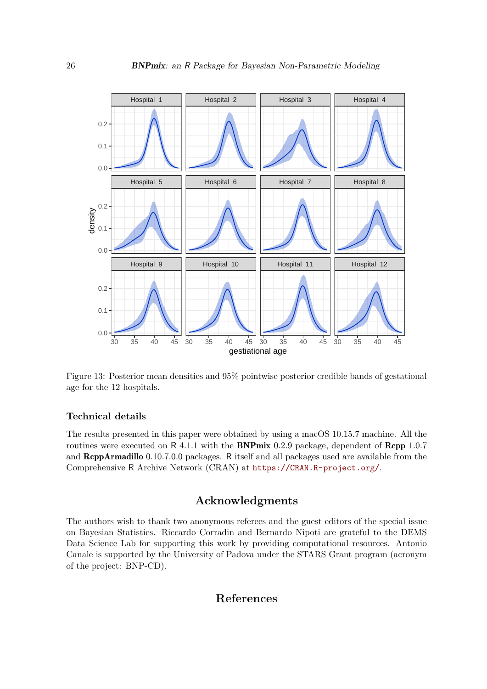

<span id="page-25-0"></span>Figure 13: Posterior mean densities and 95% pointwise posterior credible bands of gestational age for the 12 hospitals.

### **Technical details**

The results presented in this paper were obtained by using a macOS 10.15.7 machine. All the routines were executed on R 4.1.1 with the **BNPmix** 0.2.9 package, dependent of **Rcpp** 1.0.7 and RcppArmadillo 0.10.7.0.0 packages. R itself and all packages used are available from the Comprehensive R Archive Network (CRAN) at <https://CRAN.R-project.org/>.

# **Acknowledgments**

The authors wish to thank two anonymous referees and the guest editors of the special issue on Bayesian Statistics. Riccardo Corradin and Bernardo Nipoti are grateful to the DEMS Data Science Lab for supporting this work by providing computational resources. Antonio Canale is supported by the University of Padova under the STARS Grant program (acronym of the project: BNP-CD).

### **References**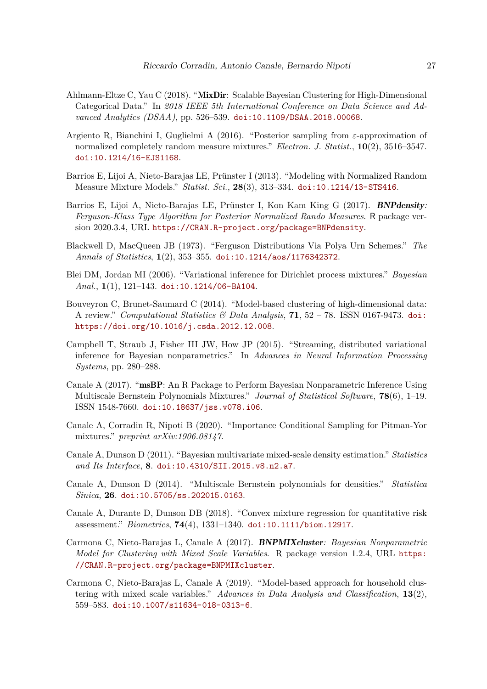- <span id="page-26-10"></span>Ahlmann-Eltze C, Yau C (2018). "MixDir: Scalable Bayesian Clustering for High-Dimensional Categorical Data." In *2018 IEEE 5th International Conference on Data Science and Advanced Analytics (DSAA)*, pp. 526–539. [doi:10.1109/DSAA.2018.00068](http://dx.doi.org/10.1109/DSAA.2018.00068).
- <span id="page-26-0"></span>Argiento R, Bianchini I, Guglielmi A (2016). "Posterior sampling from *ε*-approximation of normalized completely random measure mixtures." *Electron. J. Statist.*, **10**(2), 3516–3547. [doi:10.1214/16-EJS1168](http://dx.doi.org/10.1214/16-EJS1168).
- <span id="page-26-4"></span>Barrios E, Lijoi A, Nieto-Barajas LE, Prünster I (2013). "Modeling with Normalized Random Measure Mixture Models." *Statist. Sci.*, **28**(3), 313–334. [doi:10.1214/13-STS416](http://dx.doi.org/10.1214/13-STS416).
- <span id="page-26-1"></span>Barrios E, Lijoi A, Nieto-Barajas LE, Prünster I, Kon Kam King G (2017). BNPdensity*: Ferguson-Klass Type Algorithm for Posterior Normalized Rando Measures*. R package version 2020.3.4, URL <https://CRAN.R-project.org/package=BNPdensity>.
- <span id="page-26-13"></span>Blackwell D, MacQueen JB (1973). "Ferguson Distributions Via Polya Urn Schemes." *The Annals of Statistics*, **1**(2), 353–355. [doi:10.1214/aos/1176342372](http://dx.doi.org/10.1214/aos/1176342372).
- <span id="page-26-8"></span>Blei DM, Jordan MI (2006). "Variational inference for Dirichlet process mixtures." *Bayesian Anal.*, **1**(1), 121–143. [doi:10.1214/06-BA104](http://dx.doi.org/10.1214/06-BA104).
- <span id="page-26-11"></span>Bouveyron C, Brunet-Saumard C (2014). "Model-based clustering of high-dimensional data: A review." *Computational Statistics & Data Analysis*, **71**, 52 – 78. ISSN 0167-9473. [doi:](http://dx.doi.org/https://doi.org/10.1016/j.csda.2012.12.008) [https://doi.org/10.1016/j.csda.2012.12.008](http://dx.doi.org/https://doi.org/10.1016/j.csda.2012.12.008).
- <span id="page-26-9"></span>Campbell T, Straub J, Fisher III JW, How JP (2015). "Streaming, distributed variational inference for Bayesian nonparametrics." In *Advances in Neural Information Processing Systems*, pp. 280–288.
- <span id="page-26-3"></span>Canale A (2017). "msBP: An R Package to Perform Bayesian Nonparametric Inference Using Multiscale Bernstein Polynomials Mixtures." *Journal of Statistical Software*, **78**(6), 1–19. ISSN 1548-7660. [doi:10.18637/jss.v078.i06](http://dx.doi.org/10.18637/jss.v078.i06).
- <span id="page-26-12"></span>Canale A, Corradin R, Nipoti B (2020). "Importance Conditional Sampling for Pitman-Yor mixtures." *preprint arXiv:1906.08147*.
- <span id="page-26-5"></span>Canale A, Dunson D (2011). "Bayesian multivariate mixed-scale density estimation." *Statistics and Its Interface*, **8**. [doi:10.4310/SII.2015.v8.n2.a7](http://dx.doi.org/10.4310/SII.2015.v8.n2.a7).
- <span id="page-26-7"></span>Canale A, Dunson D (2014). "Multiscale Bernstein polynomials for densities." *Statistica Sinica*, **26**. [doi:10.5705/ss.202015.0163](http://dx.doi.org/10.5705/ss.202015.0163).
- <span id="page-26-14"></span>Canale A, Durante D, Dunson DB (2018). "Convex mixture regression for quantitative risk assessment." *Biometrics*, **74**(4), 1331–1340. [doi:10.1111/biom.12917](http://dx.doi.org/10.1111/biom.12917).
- <span id="page-26-2"></span>Carmona C, Nieto-Barajas L, Canale A (2017). BNPMIXcluster*: Bayesian Nonparametric Model for Clustering with Mixed Scale Variables*. R package version 1.2.4, URL [https:](https://CRAN.R-project.org/package=BNPMIXcluster) [//CRAN.R-project.org/package=BNPMIXcluster](https://CRAN.R-project.org/package=BNPMIXcluster).
- <span id="page-26-6"></span>Carmona C, Nieto-Barajas L, Canale A (2019). "Model-based approach for household clustering with mixed scale variables." *Advances in Data Analysis and Classification*, **13**(2), 559–583. [doi:10.1007/s11634-018-0313-6](http://dx.doi.org/10.1007/s11634-018-0313-6).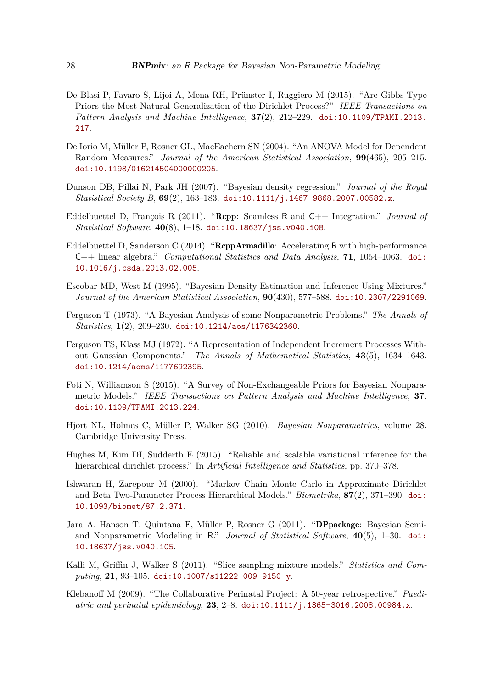- <span id="page-27-2"></span>De Blasi P, Favaro S, Lijoi A, Mena RH, Prünster I, Ruggiero M (2015). "Are Gibbs-Type Priors the Most Natural Generalization of the Dirichlet Process?" *IEEE Transactions on Pattern Analysis and Machine Intelligence*, **37**(2), 212–229. [doi:10.1109/TPAMI.2013.](http://dx.doi.org/10.1109/TPAMI.2013.217) [217](http://dx.doi.org/10.1109/TPAMI.2013.217).
- <span id="page-27-4"></span>De Iorio M, Müller P, Rosner GL, MacEachern SN (2004). "An ANOVA Model for Dependent Random Measures." *Journal of the American Statistical Association*, **99**(465), 205–215. [doi:10.1198/016214504000000205](http://dx.doi.org/10.1198/016214504000000205).
- <span id="page-27-9"></span>Dunson DB, Pillai N, Park JH (2007). "Bayesian density regression." *Journal of the Royal Statistical Society B*, **69**(2), 163–183. [doi:10.1111/j.1467-9868.2007.00582.x](http://dx.doi.org/10.1111/j.1467-9868.2007.00582.x).
- <span id="page-27-11"></span>Eddelbuettel D, François R (2011). "Rcpp: Seamless R and C++ Integration." *Journal of Statistical Software*, **40**(8), 1–18. [doi:10.18637/jss.v040.i08](http://dx.doi.org/10.18637/jss.v040.i08).
- <span id="page-27-12"></span>Eddelbuettel D, Sanderson C (2014). "ReppArmadillo: Accelerating R with high-performance C++ linear algebra." *Computational Statistics and Data Analysis*, **71**, 1054–1063. [doi:](http://dx.doi.org/10.1016/j.csda.2013.02.005) [10.1016/j.csda.2013.02.005](http://dx.doi.org/10.1016/j.csda.2013.02.005).
- <span id="page-27-8"></span>Escobar MD, West M (1995). "Bayesian Density Estimation and Inference Using Mixtures." *Journal of the American Statistical Association*, **90**(430), 577–588. [doi:10.2307/2291069](http://dx.doi.org/10.2307/2291069).
- <span id="page-27-1"></span>Ferguson T (1973). "A Bayesian Analysis of some Nonparametric Problems." *The Annals of Statistics*, **1**(2), 209–230. [doi:10.1214/aos/1176342360](http://dx.doi.org/10.1214/aos/1176342360).
- <span id="page-27-6"></span>Ferguson TS, Klass MJ (1972). "A Representation of Independent Increment Processes Without Gaussian Components." *The Annals of Mathematical Statistics*, **43**(5), 1634–1643. [doi:10.1214/aoms/1177692395](http://dx.doi.org/10.1214/aoms/1177692395).
- <span id="page-27-3"></span>Foti N, Williamson S (2015). "A Survey of Non-Exchangeable Priors for Bayesian Nonparametric Models." *IEEE Transactions on Pattern Analysis and Machine Intelligence*, **37**. [doi:10.1109/TPAMI.2013.224](http://dx.doi.org/10.1109/TPAMI.2013.224).
- <span id="page-27-0"></span>Hjort NL, Holmes C, Müller P, Walker SG (2010). *Bayesian Nonparametrics*, volume 28. Cambridge University Press.
- <span id="page-27-7"></span>Hughes M, Kim DI, Sudderth E (2015). "Reliable and scalable variational inference for the hierarchical dirichlet process." In *Artificial Intelligence and Statistics*, pp. 370–378.
- <span id="page-27-14"></span>Ishwaran H, Zarepour M (2000). "Markov Chain Monte Carlo in Approximate Dirichlet and Beta Two-Parameter Process Hierarchical Models." *Biometrika*, **87**(2), 371–390. [doi:](http://dx.doi.org/10.1093/biomet/87.2.371) [10.1093/biomet/87.2.371](http://dx.doi.org/10.1093/biomet/87.2.371).
- <span id="page-27-5"></span>Jara A, Hanson T, Quintana F, Müller P, Rosner G (2011). "DPpackage: Bayesian Semiand Nonparametric Modeling in R." *Journal of Statistical Software*, **40**(5), 1–30. [doi:](http://dx.doi.org/10.18637/jss.v040.i05) [10.18637/jss.v040.i05](http://dx.doi.org/10.18637/jss.v040.i05).
- <span id="page-27-10"></span>Kalli M, Griffin J, Walker S (2011). "Slice sampling mixture models." *Statistics and Computing*, **21**, 93–105. [doi:10.1007/s11222-009-9150-y](http://dx.doi.org/10.1007/s11222-009-9150-y).
- <span id="page-27-13"></span>Klebanoff M (2009). "The Collaborative Perinatal Project: A 50-year retrospective." *Paediatric and perinatal epidemiology*, **23**, 2–8. [doi:10.1111/j.1365-3016.2008.00984.x](http://dx.doi.org/10.1111/j.1365-3016.2008.00984.x).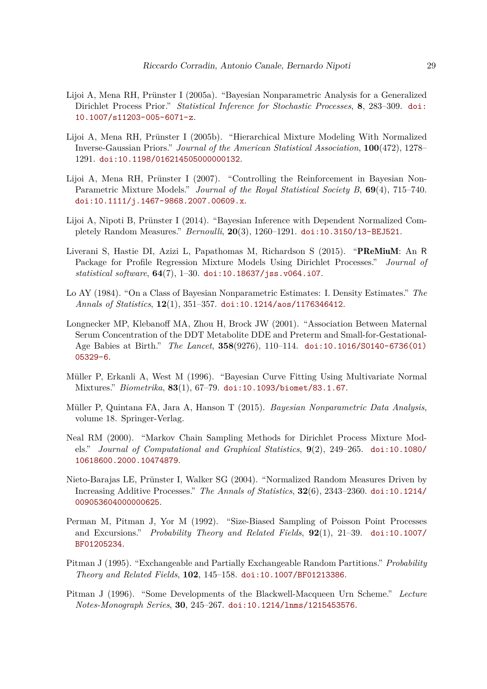- <span id="page-28-4"></span>Lijoi A, Mena RH, Prünster I (2005a). "Bayesian Nonparametric Analysis for a Generalized Dirichlet Process Prior." *Statistical Inference for Stochastic Processes*, **8**, 283–309. [doi:](http://dx.doi.org/10.1007/s11203-005-6071-z) [10.1007/s11203-005-6071-z](http://dx.doi.org/10.1007/s11203-005-6071-z).
- <span id="page-28-3"></span>Lijoi A, Mena RH, Prünster I (2005b). "Hierarchical Mixture Modeling With Normalized Inverse-Gaussian Priors." *Journal of the American Statistical Association*, **100**(472), 1278– 1291. [doi:10.1198/016214505000000132](http://dx.doi.org/10.1198/016214505000000132).
- <span id="page-28-5"></span>Lijoi A, Mena RH, Prünster I (2007). "Controlling the Reinforcement in Bayesian Non-Parametric Mixture Models." *Journal of the Royal Statistical Society B*, **69**(4), 715–740. [doi:10.1111/j.1467-9868.2007.00609.x](http://dx.doi.org/10.1111/j.1467-9868.2007.00609.x).
- <span id="page-28-10"></span>Lijoi A, Nipoti B, Prünster I (2014). "Bayesian Inference with Dependent Normalized Completely Random Measures." *Bernoulli*, **20**(3), 1260–1291. [doi:10.3150/13-BEJ521](http://dx.doi.org/10.3150/13-BEJ521).
- <span id="page-28-8"></span>Liverani S, Hastie DI, Azizi L, Papathomas M, Richardson S (2015). "PReMiuM: An R Package for Profile Regression Mixture Models Using Dirichlet Processes." *Journal of statistical software*, **64**(7), 1–30. [doi:10.18637/jss.v064.i07](http://dx.doi.org/10.18637/jss.v064.i07).
- <span id="page-28-1"></span>Lo AY (1984). "On a Class of Bayesian Nonparametric Estimates: I. Density Estimates." *The Annals of Statistics*, **12**(1), 351–357. [doi:10.1214/aos/1176346412](http://dx.doi.org/10.1214/aos/1176346412).
- <span id="page-28-13"></span>Longnecker MP, Klebanoff MA, Zhou H, Brock JW (2001). "Association Between Maternal Serum Concentration of the DDT Metabolite DDE and Preterm and Small-for-Gestational-Age Babies at Birth." *The Lancet*, **358**(9276), 110–114. [doi:10.1016/S0140-6736\(01\)](http://dx.doi.org/10.1016/S0140-6736(01)05329-6) [05329-6](http://dx.doi.org/10.1016/S0140-6736(01)05329-6).
- <span id="page-28-9"></span>Müller P, Erkanli A, West M (1996). "Bayesian Curve Fitting Using Multivariate Normal Mixtures." *Biometrika*, **83**(1), 67–79. [doi:10.1093/biomet/83.1.67](http://dx.doi.org/10.1093/biomet/83.1.67).
- <span id="page-28-0"></span>Müller P, Quintana FA, Jara A, Hanson T (2015). *Bayesian Nonparametric Data Analysis*, volume 18. Springer-Verlag.
- <span id="page-28-11"></span>Neal RM (2000). "Markov Chain Sampling Methods for Dirichlet Process Mixture Models." *Journal of Computational and Graphical Statistics*, **9**(2), 249–265. [doi:10.1080/](http://dx.doi.org/10.1080/10618600.2000.10474879) [10618600.2000.10474879](http://dx.doi.org/10.1080/10618600.2000.10474879).
- <span id="page-28-2"></span>Nieto-Barajas LE, Prünster I, Walker SG (2004). "Normalized Random Measures Driven by Increasing Additive Processes." *The Annals of Statistics*, **32**(6), 2343–2360. [doi:10.1214/](http://dx.doi.org/10.1214/009053604000000625) [009053604000000625](http://dx.doi.org/10.1214/009053604000000625).
- <span id="page-28-6"></span>Perman M, Pitman J, Yor M (1992). "Size-Biased Sampling of Poisson Point Processes and Excursions." *Probability Theory and Related Fields*, **92**(1), 21–39. [doi:10.1007/](http://dx.doi.org/10.1007/BF01205234) [BF01205234](http://dx.doi.org/10.1007/BF01205234).
- <span id="page-28-7"></span>Pitman J (1995). "Exchangeable and Partially Exchangeable Random Partitions." *Probability Theory and Related Fields*, **102**, 145–158. [doi:10.1007/BF01213386](http://dx.doi.org/10.1007/BF01213386).
- <span id="page-28-12"></span>Pitman J (1996). "Some Developments of the Blackwell-Macqueen Urn Scheme." *Lecture Notes-Monograph Series*, **30**, 245–267. [doi:10.1214/lnms/1215453576](http://dx.doi.org/10.1214/lnms/1215453576).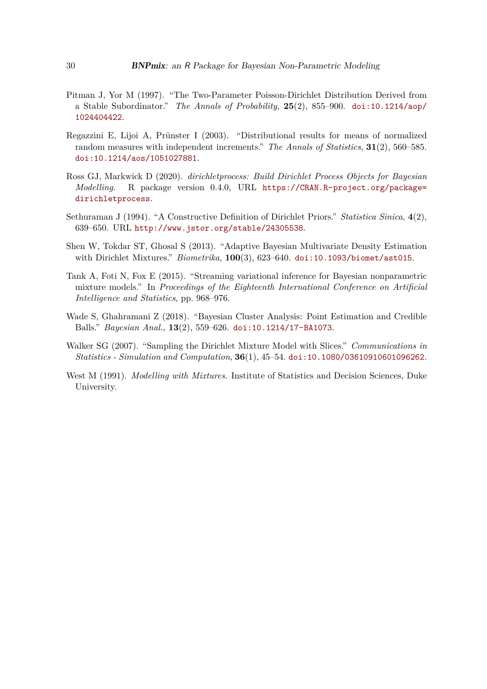- <span id="page-29-0"></span>Pitman J, Yor M (1997). "The Two-Parameter Poisson-Dirichlet Distribution Derived from a Stable Subordinator." *The Annals of Probability*, **25**(2), 855–900. [doi:10.1214/aop/](http://dx.doi.org/10.1214/aop/1024404422) [1024404422](http://dx.doi.org/10.1214/aop/1024404422).
- <span id="page-29-3"></span>Regazzini E, Lijoi A, Prünster I (2003). "Distributional results for means of normalized random measures with independent increments." *The Annals of Statistics*, **31**(2), 560–585. [doi:10.1214/aos/1051027881](http://dx.doi.org/10.1214/aos/1051027881).
- <span id="page-29-2"></span>Ross GJ, Markwick D (2020). *dirichletprocess: Build Dirichlet Process Objects for Bayesian Modelling*. R package version 0.4.0, URL [https://CRAN.R-project.org/package=](https://CRAN.R-project.org/package=dirichletprocess) [dirichletprocess](https://CRAN.R-project.org/package=dirichletprocess).
- <span id="page-29-1"></span>Sethuraman J (1994). "A Constructive Definition of Dirichlet Priors." *Statistica Sinica*, **4**(2), 639–650. URL <http://www.jstor.org/stable/24305538>.
- <span id="page-29-6"></span>Shen W, Tokdar ST, Ghosal S (2013). "Adaptive Bayesian Multivariate Density Estimation with Dirichlet Mixtures." *Biometrika*, **100**(3), 623–640. [doi:10.1093/biomet/ast015](http://dx.doi.org/10.1093/biomet/ast015).
- <span id="page-29-4"></span>Tank A, Foti N, Fox E (2015). "Streaming variational inference for Bayesian nonparametric mixture models." In *Proceedings of the Eighteenth International Conference on Artificial Intelligence and Statistics*, pp. 968–976.
- <span id="page-29-8"></span>Wade S, Ghahramani Z (2018). "Bayesian Cluster Analysis: Point Estimation and Credible Balls." *Bayesian Anal.*, **13**(2), 559–626. [doi:10.1214/17-BA1073](http://dx.doi.org/10.1214/17-BA1073).
- <span id="page-29-7"></span>Walker SG (2007). "Sampling the Dirichlet Mixture Model with Slices." *Communications in Statistics - Simulation and Computation*, **36**(1), 45–54. [doi:10.1080/03610910601096262](http://dx.doi.org/10.1080/03610910601096262).
- <span id="page-29-5"></span>West M (1991). *Modelling with Mixtures*. Institute of Statistics and Decision Sciences, Duke University.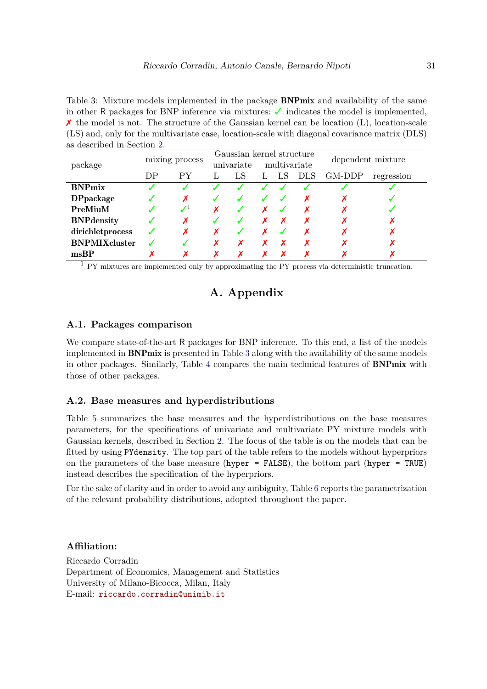<span id="page-30-0"></span>Table 3: Mixture models implemented in the package **BNPmix** and availability of the same in other R packages for BNP inference via mixtures: ✓ indicates the model is implemented,  $\chi$  the model is not. The structure of the Gaussian kernel can be location (L), location-scale (LS) and, only for the multivariate case, location-scale with diagonal covariance matrix (DLS) as described in Section [2.](#page-2-0)

|                      | mixing process |             | Gaussian kernel structure |    |              |     | dependent mixture |        |            |
|----------------------|----------------|-------------|---------------------------|----|--------------|-----|-------------------|--------|------------|
| package              |                |             | univariate                |    | multivariate |     |                   |        |            |
|                      | DP             | РY          | L.                        | LS | L.           | -LS | <b>DLS</b>        | GM-DDP | regression |
| <b>BNPmix</b>        |                |             |                           |    |              |     |                   |        |            |
| <b>DPpackage</b>     |                | Х           |                           |    |              |     | х                 | л      |            |
| PreMiuM              |                | $J^{\perp}$ |                           |    |              |     |                   |        |            |
| <b>BNP</b> density   |                | Х           |                           |    |              |     |                   |        |            |
| dirichletprocess     |                | Х           | X                         |    |              |     |                   |        |            |
| <b>BNPMIXcluster</b> |                | J           | x                         | х  |              | ↗   | Х                 | х      |            |
| msBP                 |                |             |                           |    |              |     |                   |        |            |

 $1$  PY mixtures are implemented only by approximating the PY process via deterministic truncation.

# **A. Appendix**

### <span id="page-30-1"></span>**A.1. Packages comparison**

We compare state-of-the-art R packages for BNP inference. To this end, a list of the models implemented in BNPmix is presented in Table [3](#page-30-0) along with the availability of the same models in other packages. Similarly, Table [4](#page-31-0) compares the main technical features of BNPmix with those of other packages.

### <span id="page-30-2"></span>**A.2. Base measures and hyperdistributions**

Table [5](#page-32-0) summarizes the base measures and the hyperdistributions on the base measures parameters, for the specifications of univariate and multivariate PY mixture models with Gaussian kernels, described in Section [2.](#page-2-0) The focus of the table is on the models that can be fitted by using PYdensity. The top part of the table refers to the models without hyperpriors on the parameters of the base measure (hyper = FALSE), the bottom part (hyper = TRUE) instead describes the specification of the hyperpriors.

For the sake of clarity and in order to avoid any ambiguity, Table [6](#page-32-1) reports the parametrization of the relevant probability distributions, adopted throughout the paper.

### **Affiliation:**

Riccardo Corradin Department of Economics, Management and Statistics University of Milano-Bicocca, Milan, Italy E-mail: [riccardo.corradin@unimib.it](mailto:riccardo.corradin@unimib.it)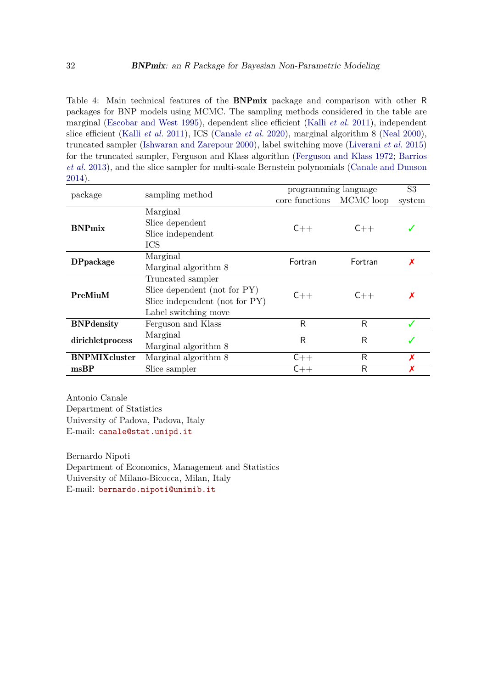<span id="page-31-0"></span>Table 4: Main technical features of the BNPmix package and comparison with other R packages for BNP models using MCMC. The sampling methods considered in the table are marginal [\(Escobar and West](#page-27-8) [1995\)](#page-27-8), dependent slice efficient (Kalli *[et al.](#page-27-10)* [2011\)](#page-27-10), independent slice efficient (Kalli *[et al.](#page-27-10)* [2011\)](#page-27-10), ICS [\(Canale](#page-26-12) *et al.* [2020\)](#page-26-12), marginal algorithm 8 [\(Neal](#page-28-11) [2000\)](#page-28-11), truncated sampler [\(Ishwaran and Zarepour](#page-27-14) [2000\)](#page-27-14), label switching move [\(Liverani](#page-28-8) *et al.* [2015\)](#page-28-8) for the truncated sampler, Ferguson and Klass algorithm [\(Ferguson and Klass](#page-27-6) [1972;](#page-27-6) [Barrios](#page-26-4) *[et al.](#page-26-4)* [2013\)](#page-26-4), and the slice sampler for multi-scale Bernstein polynomials [\(Canale and Dunson](#page-26-7) [2014\)](#page-26-7).

| package              | sampling method                | programming language | S <sub>3</sub> |        |
|----------------------|--------------------------------|----------------------|----------------|--------|
|                      |                                | core functions       | MCMC loop      | system |
|                      | Marginal                       |                      | $C++$          |        |
| <b>BNPmix</b>        | Slice dependent                | $C++$                |                |        |
|                      | Slice independent              |                      |                |        |
|                      | <b>ICS</b>                     |                      |                |        |
| <b>DPpackage</b>     | Marginal                       | Fortran              | Fortran        | x      |
|                      | Marginal algorithm 8           |                      |                |        |
|                      | Truncated sampler              |                      | $C++$          |        |
| PreMiuM              | Slice dependent (not for PY)   | $C++$                |                |        |
|                      | Slice independent (not for PY) |                      |                |        |
|                      | Label switching move           |                      |                |        |
| <b>BNP</b> density   | Ferguson and Klass             | R                    | R              |        |
| dirichletprocess     | Marginal                       | R                    | R              |        |
|                      | Marginal algorithm 8           |                      |                |        |
| <b>BNPMIXcluster</b> | Marginal algorithm 8           | $C++$                | R              |        |
| msBP                 | Slice sampler                  | $C++$                | R              |        |

Antonio Canale Department of Statistics University of Padova, Padova, Italy E-mail: [canale@stat.unipd.it](mailto:canale@stat.unipd.it)

Bernardo Nipoti Department of Economics, Management and Statistics University of Milano-Bicocca, Milan, Italy E-mail: [bernardo.nipoti@unimib.it](mailto:bernardo.nipoti@unimib.it)